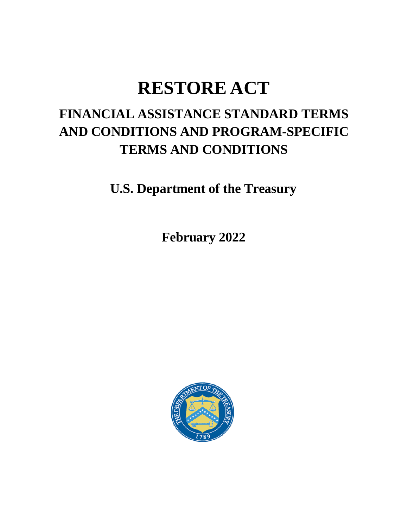# **RESTORE ACT**

## **FINANCIAL ASSISTANCE STANDARD TERMS AND CONDITIONS AND PROGRAM-SPECIFIC TERMS AND CONDITIONS**

**U.S. Department of the Treasury**

**February 2022**

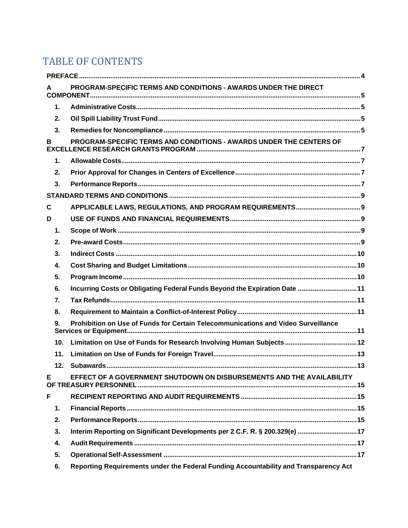## TABLE OF CONTENTS

| A   | PROGRAM-SPECIFIC TERMS AND CONDITIONS - AWARDS UNDER THE DIRECT                      |  |
|-----|--------------------------------------------------------------------------------------|--|
| 1.  |                                                                                      |  |
| 2.  |                                                                                      |  |
| 3.  |                                                                                      |  |
| B   | PROGRAM-SPECIFIC TERMS AND CONDITIONS - AWARDS UNDER THE CENTERS OF                  |  |
| 1.  |                                                                                      |  |
| 2.  |                                                                                      |  |
| 3.  |                                                                                      |  |
|     |                                                                                      |  |
| C   |                                                                                      |  |
| D   |                                                                                      |  |
| 1.  |                                                                                      |  |
| 2.  |                                                                                      |  |
| 3.  |                                                                                      |  |
| 4.  |                                                                                      |  |
| 5.  |                                                                                      |  |
| 6.  | Incurring Costs or Obligating Federal Funds Beyond the Expiration Date  11           |  |
| 7.  |                                                                                      |  |
| 8.  |                                                                                      |  |
| 9.  | Prohibition on Use of Funds for Certain Telecommunications and Video Surveillance    |  |
|     |                                                                                      |  |
| 11. |                                                                                      |  |
| 12. |                                                                                      |  |
| Е   | EFFECT OF A GOVERNMENT SHUTDOWN ON DISBURSEMENTS AND THE AVAILABILITY                |  |
| F.  |                                                                                      |  |
| 1.  |                                                                                      |  |
| 2.  |                                                                                      |  |
| 3.  | Interim Reporting on Significant Developments per 2 C.F. R. § 200.329(e) 17          |  |
| 4.  |                                                                                      |  |
| 5.  |                                                                                      |  |
| 6.  | Reporting Requirements under the Federal Funding Accountability and Transparency Act |  |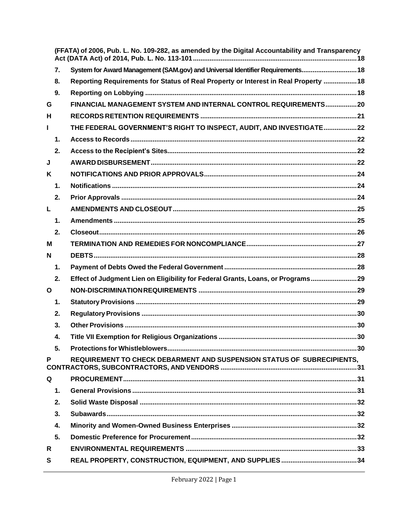|   |                | (FFATA) of 2006, Pub. L. No. 109-282, as amended by the Digital Accountability and Transparency |  |
|---|----------------|-------------------------------------------------------------------------------------------------|--|
|   | 7.             | System for Award Management (SAM.gov) and Universal Identifier Requirements 18                  |  |
|   | 8.             | Reporting Requirements for Status of Real Property or Interest in Real Property  18             |  |
|   | 9.             |                                                                                                 |  |
| G |                | FINANCIAL MANAGEMENT SYSTEM AND INTERNAL CONTROL REQUIREMENTS20                                 |  |
| н |                |                                                                                                 |  |
| ı |                | THE FEDERAL GOVERNMENT'S RIGHT TO INSPECT, AUDIT, AND INVESTIGATE22                             |  |
|   | 1.             |                                                                                                 |  |
|   | 2.             |                                                                                                 |  |
| J |                |                                                                                                 |  |
| K |                |                                                                                                 |  |
|   | 1.             |                                                                                                 |  |
|   | 2.             |                                                                                                 |  |
| L |                |                                                                                                 |  |
|   | 1.             |                                                                                                 |  |
|   | 2.             |                                                                                                 |  |
| М |                |                                                                                                 |  |
| N |                |                                                                                                 |  |
|   | 1.             |                                                                                                 |  |
|   | 2.             | Effect of Judgment Lien on Eligibility for Federal Grants, Loans, or Programs29                 |  |
| O |                |                                                                                                 |  |
|   | 1.             |                                                                                                 |  |
|   | 2.             |                                                                                                 |  |
|   | 3.             |                                                                                                 |  |
|   | 4.             |                                                                                                 |  |
|   | 5 <sub>1</sub> |                                                                                                 |  |
| P |                | REQUIREMENT TO CHECK DEBARMENT AND SUSPENSION STATUS OF SUBRECIPIENTS.                          |  |
| Q |                |                                                                                                 |  |
|   | 1.             |                                                                                                 |  |
|   | 2.             |                                                                                                 |  |
|   | 3.             |                                                                                                 |  |
|   | 4.             |                                                                                                 |  |
|   | 5.             |                                                                                                 |  |
| R |                |                                                                                                 |  |
| S |                |                                                                                                 |  |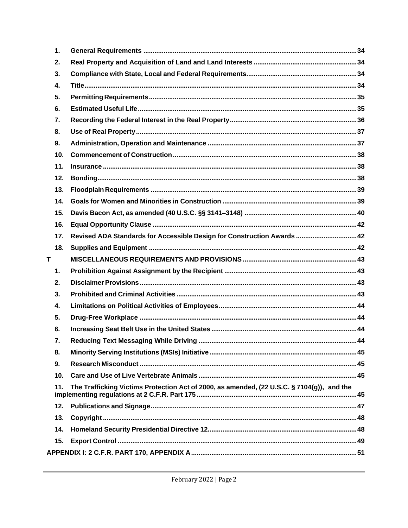| 1.              |                                                                                            |  |
|-----------------|--------------------------------------------------------------------------------------------|--|
| 2.              |                                                                                            |  |
| 3.              |                                                                                            |  |
| 4.              |                                                                                            |  |
| 5.              |                                                                                            |  |
| 6.              |                                                                                            |  |
| 7.              |                                                                                            |  |
| 8.              |                                                                                            |  |
| 9.              |                                                                                            |  |
| 10 <sub>1</sub> |                                                                                            |  |
| 11.             |                                                                                            |  |
| 12.             |                                                                                            |  |
| 13.             |                                                                                            |  |
| 14.             |                                                                                            |  |
| 15.             |                                                                                            |  |
| 16.             |                                                                                            |  |
| 17.             | Revised ADA Standards for Accessible Design for Construction Awards  42                    |  |
|                 |                                                                                            |  |
| 18.             |                                                                                            |  |
| T               |                                                                                            |  |
| 1.              |                                                                                            |  |
| 2.              |                                                                                            |  |
| 3.              |                                                                                            |  |
| 4.              |                                                                                            |  |
| 5.              |                                                                                            |  |
| 6.              |                                                                                            |  |
| 7.              |                                                                                            |  |
| 8.              |                                                                                            |  |
| 9.              |                                                                                            |  |
| 10 <sub>1</sub> |                                                                                            |  |
| 11.             | The Trafficking Victims Protection Act of 2000, as amended, (22 U.S.C. § 7104(g)), and the |  |
| 12.             |                                                                                            |  |
| 13.             |                                                                                            |  |
| 14.             |                                                                                            |  |
| 15.             |                                                                                            |  |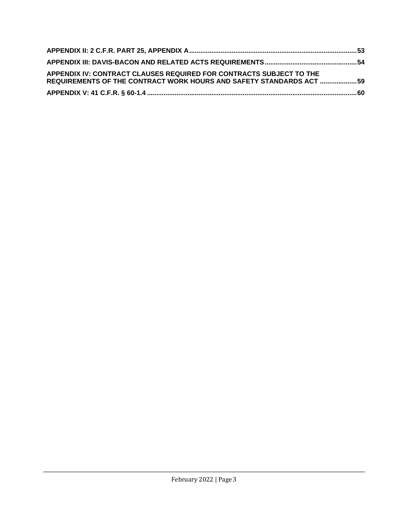| APPENDIX IV: CONTRACT CLAUSES REQUIRED FOR CONTRACTS SUBJECT TO THE<br>REQUIREMENTS OF THE CONTRACT WORK HOURS AND SAFETY STANDARDS ACT  59 |  |
|---------------------------------------------------------------------------------------------------------------------------------------------|--|
|                                                                                                                                             |  |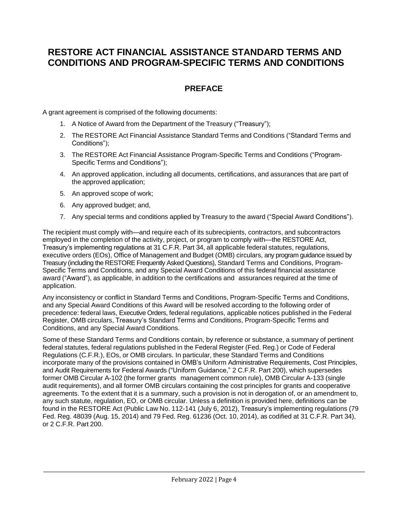## **RESTORE ACT FINANCIAL ASSISTANCE STANDARD TERMS AND CONDITIONS AND PROGRAM-SPECIFIC TERMS AND CONDITIONS**

## **PREFACE**

<span id="page-5-0"></span>A grant agreement is comprised of the following documents:

- 1. A Notice of Award from the Department of the Treasury ("Treasury");
- 2. The RESTORE Act Financial Assistance Standard Terms and Conditions ("Standard Terms and Conditions");
- 3. The RESTORE Act Financial Assistance Program-Specific Terms and Conditions ("Program-Specific Terms and Conditions");
- 4. An approved application, including all documents, certifications, and assurances that are part of the approved application;
- 5. An approved scope of work;
- 6. Any approved budget; and,
- 7. Any special terms and conditions applied by Treasury to the award ("Special Award Conditions").

The recipient must comply with—and require each of its subrecipients, contractors, and subcontractors employed in the completion of the activity, project, or program to comply with—the RESTORE Act, Treasury's implementing regulations at 31 C.F.R. Part 34, all applicable federal statutes, regulations, executive orders (EOs), Office of Management and Budget (OMB) circulars, any program guidance issued by Treasury (including the RESTORE Frequently Asked Questions), Standard Terms and Conditions, Program-Specific Terms and Conditions, and any Special Award Conditions of this federal financial assistance award ("Award"), as applicable, in addition to the certifications and assurances required at the time of application.

Any inconsistency or conflict in Standard Terms and Conditions, Program-Specific Terms and Conditions, and any Special Award Conditions of this Award will be resolved according to the following order of precedence: federal laws, Executive Orders, federal regulations, applicable notices published in the Federal Register, OMB circulars, Treasury's Standard Terms and Conditions, Program-Specific Terms and Conditions, and any Special Award Conditions.

Some of these Standard Terms and Conditions contain, by reference or substance, a summary of pertinent federal statutes, federal regulations published in the Federal Register (Fed. Reg.) or Code of Federal Regulations (C.F.R.), EOs, or OMB circulars. In particular, these Standard Terms and Conditions incorporate many of the provisions contained in OMB's Uniform Administrative Requirements, Cost Principles, and Audit Requirements for Federal Awards ("Uniform Guidance," 2 C.F.R. Part 200), which supersedes former OMB Circular A-102 (the former grants management common rule), OMB Circular A-133 (single audit requirements), and all former OMB circulars containing the cost principles for grants and cooperative agreements. To the extent that it is a summary, such a provision is not in derogation of, or an amendment to, any such statute, regulation, EO, or OMB circular. Unless a definition is provided here, definitions can be found in the RESTORE Act (Public Law No. 112-141 (July 6, 2012), Treasury's implementing regulations (79 Fed. Reg. 48039 (Aug. 15, 2014) and 79 Fed. Reg. 61236 (Oct. 10, 2014), as codified at 31 C.F.R. Part 34), or 2 C.F.R. Part 200.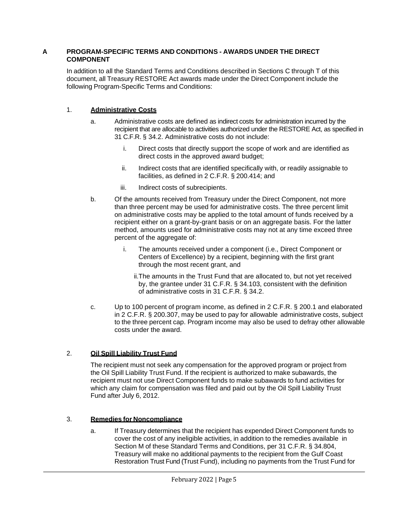## <span id="page-6-0"></span>**A PROGRAM-SPECIFIC TERMS AND CONDITIONS - AWARDS UNDER THE DIRECT COMPONENT**

In addition to all the Standard Terms and Conditions described in Sections C through T of this document, all Treasury RESTORE Act awards made under the Direct Component include the following Program-Specific Terms and Conditions:

## <span id="page-6-1"></span>1. **Administrative Costs**

- a. Administrative costs are defined as indirect costs for administration incurred by the recipient that are allocable to activities authorized under the RESTORE Act, as specified in 31 C.F.R. § 34.2. Administrative costs do not include:
	- i. Direct costs that directly support the scope of work and are identified as direct costs in the approved award budget;
	- ii. Indirect costs that are identified specifically with, or readily assignable to facilities, as defined in 2 C.F.R. § 200.414; and
	- iii. Indirect costs of subrecipients.
- b. Of the amounts received from Treasury under the Direct Component, not more than three percent may be used for administrative costs. The three percent limit on administrative costs may be applied to the total amount of funds received by a recipient either on a grant-by-grant basis or on an aggregate basis. For the latter method, amounts used for administrative costs may not at any time exceed three percent of the aggregate of:
	- i. The amounts received under a component (i.e., Direct Component or Centers of Excellence) by a recipient, beginning with the first grant through the most recent grant, and
		- ii.The amounts in the Trust Fund that are allocated to, but not yet received by, the grantee under 31 C.F.R. § 34.103, consistent with the definition of administrative costs in 31 C.F.R. § 34.2.
- c. Up to 100 percent of program income, as defined in 2 C.F.R. § 200.1 and elaborated in 2 C.F.R. § 200.307, may be used to pay for allowable administrative costs, subject to the three percent cap. Program income may also be used to defray other allowable costs under the award.

## <span id="page-6-2"></span>2. **Oil Spill Liability Trust Fund**

The recipient must not seek any compensation for the approved program or project from the Oil Spill Liability Trust Fund. If the recipient is authorized to make subawards, the recipient must not use Direct Component funds to make subawards to fund activities for which any claim for compensation was filed and paid out by the Oil Spill Liability Trust Fund after July 6, 2012.

## <span id="page-6-3"></span>3. **Remedies for Noncompliance**

a. If Treasury determines that the recipient has expended Direct Component funds to cover the cost of any ineligible activities, in addition to the remedies available in Section M of these Standard Terms and Conditions, per 31 C.F.R. § 34.804, Treasury will make no additional payments to the recipient from the Gulf Coast Restoration Trust Fund (Trust Fund), including no payments from the Trust Fund for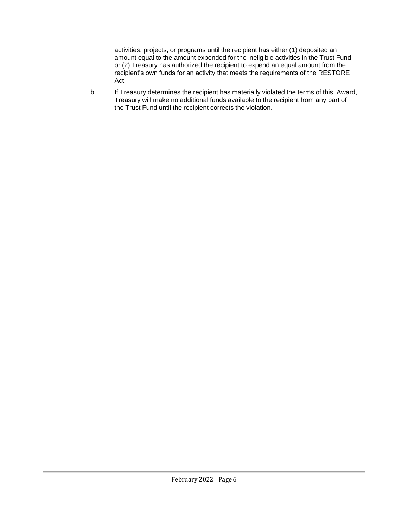activities, projects, or programs until the recipient has either (1) deposited an amount equal to the amount expended for the ineligible activities in the Trust Fund, or (2) Treasury has authorized the recipient to expend an equal amount from the recipient's own funds for an activity that meets the requirements of the RESTORE Act.

b. If Treasury determines the recipient has materially violated the terms of this Award, Treasury will make no additional funds available to the recipient from any part of the Trust Fund until the recipient corrects the violation.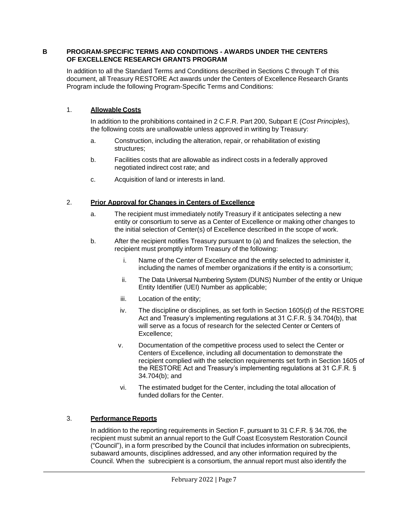#### <span id="page-8-0"></span>**B PROGRAM-SPECIFIC TERMS AND CONDITIONS - AWARDS UNDER THE CENTERS OF EXCELLENCE RESEARCH GRANTS PROGRAM**

In addition to all the Standard Terms and Conditions described in Sections C through T of this document, all Treasury RESTORE Act awards under the Centers of Excellence Research Grants Program include the following Program-Specific Terms and Conditions:

## <span id="page-8-1"></span>1. **Allowable Costs**

In addition to the prohibitions contained in 2 C.F.R. Part 200, Subpart E (*Cost Principles*), the following costs are unallowable unless approved in writing by Treasury:

- a. Construction, including the alteration, repair, or rehabilitation of existing structures;
- b. Facilities costs that are allowable as indirect costs in a federally approved negotiated indirect cost rate; and
- c. Acquisition of land or interests in land.

## <span id="page-8-2"></span>2. **Prior Approval for Changes in Centers of Excellence**

- a. The recipient must immediately notify Treasury if it anticipates selecting a new entity or consortium to serve as a Center of Excellence or making other changes to the initial selection of Center(s) of Excellence described in the scope of work.
- b. After the recipient notifies Treasury pursuant to (a) and finalizes the selection, the recipient must promptly inform Treasury of the following:
	- i. Name of the Center of Excellence and the entity selected to administer it, including the names of member organizations if the entity is a consortium;
	- ii. The Data Universal Numbering System (DUNS) Number of the entity or Unique Entity Identifier (UEI) Number as applicable;
	- iii. Location of the entity;
	- iv. The discipline or disciplines, as set forth in Section 1605(d) of the RESTORE Act and Treasury's implementing regulations at 31 C.F.R. § 34.704(b), that will serve as a focus of research for the selected Center or Centers of Excellence;
	- v. Documentation of the competitive process used to select the Center or Centers of Excellence, including all documentation to demonstrate the recipient complied with the selection requirements set forth in Section 1605 of the RESTORE Act and Treasury's implementing regulations at 31 C.F.R. § 34.704(b); and
	- vi. The estimated budget for the Center, including the total allocation of funded dollars for the Center.

## <span id="page-8-3"></span>3. **Performance Reports**

In addition to the reporting requirements in Section F, pursuant to 31 C.F.R. § 34.706, the recipient must submit an annual report to the Gulf Coast Ecosystem Restoration Council ("Council"), in a form prescribed by the Council that includes information on subrecipients, subaward amounts, disciplines addressed, and any other information required by the Council. When the subrecipient is a consortium, the annual report must also identify the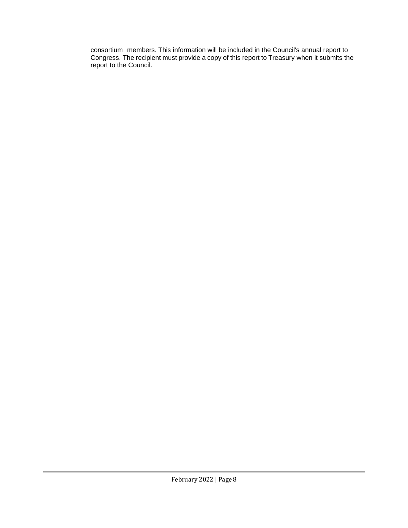consortium members. This information will be included in the Council's annual report to Congress. The recipient must provide a copy of this report to Treasury when it submits the report to the Council.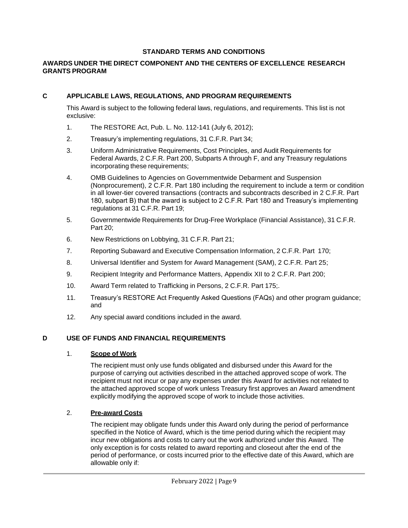## **STANDARD TERMS AND CONDITIONS**

## <span id="page-10-0"></span>**AWARDS UNDER THE DIRECT COMPONENT AND THE CENTERS OF EXCELLENCE RESEARCH GRANTS PROGRAM**

#### <span id="page-10-1"></span>**C APPLICABLE LAWS, REGULATIONS, AND PROGRAM REQUIREMENTS**

This Award is subject to the following federal laws, regulations, and requirements. This list is not exclusive:

- 1. The RESTORE Act, Pub. L. No. 112-141 (July 6, 2012);
- 2. Treasury's implementing regulations, 31 C.F.R. Part 34;
- 3. Uniform Administrative Requirements, Cost Principles, and Audit Requirements for Federal Awards, 2 C.F.R. Part 200, Subparts A through F, and any Treasury regulations incorporating these requirements;
- 4. OMB Guidelines to Agencies on Governmentwide Debarment and Suspension (Nonprocurement), 2 C.F.R. Part 180 including the requirement to include a term or condition in all lower-tier covered transactions (contracts and subcontracts described in 2 C.F.R. Part 180, subpart B) that the award is subject to 2 C.F.R. Part 180 and Treasury's implementing regulations at 31 C.F.R. Part 19;
- 5. Governmentwide Requirements for Drug-Free Workplace (Financial Assistance), 31 C.F.R. Part 20;
- 6. New Restrictions on Lobbying, 31 C.F.R. Part 21;
- 7. Reporting Subaward and Executive Compensation Information, 2 C.F.R. Part 170;
- 8. Universal Identifier and System for Award Management (SAM), 2 C.F.R. Part 25;
- 9. Recipient Integrity and Performance Matters, Appendix XII to 2 C.F.R. Part 200;
- 10. Award Term related to Trafficking in Persons, 2 C.F.R. Part 175;.
- 11. Treasury's RESTORE Act Frequently Asked Questions (FAQs) and other program guidance; and
- 12. Any special award conditions included in the award.

## <span id="page-10-3"></span><span id="page-10-2"></span>**D USE OF FUNDS AND FINANCIAL REQUIREMENTS**

#### 1. **Scope of Work**

The recipient must only use funds obligated and disbursed under this Award for the purpose of carrying out activities described in the attached approved scope of work. The recipient must not incur or pay any expenses under this Award for activities not related to the attached approved scope of work unless Treasury first approves an Award amendment explicitly modifying the approved scope of work to include those activities.

## <span id="page-10-4"></span>2. **Pre-award Costs**

The recipient may obligate funds under this Award only during the period of performance specified in the Notice of Award, which is the time period during which the recipient may incur new obligations and costs to carry out the work authorized under this Award. The only exception is for costs related to award reporting and closeout after the end of the period of performance, or costs incurred prior to the effective date of this Award, which are allowable only if: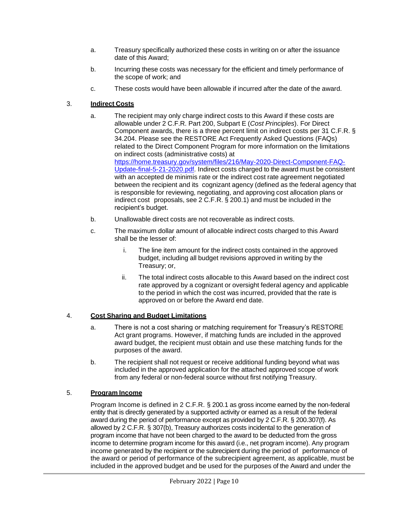- a. Treasury specifically authorized these costs in writing on or after the issuance date of this Award;
- b. Incurring these costs was necessary for the efficient and timely performance of the scope of work; and
- c. These costs would have been allowable if incurred after the date of the award.

## <span id="page-11-0"></span>3. **Indirect Costs**

- a. The recipient may only charge indirect costs to this Award if these costs are allowable under 2 C.F.R. Part 200, Subpart E (*Cost Principles*). For Direct Component awards, there is a three percent limit on indirect costs per 31 C.F.R. § 34.204. Please see the RESTORE Act Frequently Asked Questions (FAQs) related to the Direct Component Program for more information on the limitations on indirect costs (administrative costs) at [https://home.treasury.gov/system/files/216/May-2020-Direct-Component-FAQ-](https://home.treasury.gov/system/files/216/May-2020-Direct-Component-FAQ-Update-final-5-21-2020.pdf)[Update-final-5-21-2020.pdf.](https://home.treasury.gov/system/files/216/May-2020-Direct-Component-FAQ-Update-final-5-21-2020.pdf) Indirect costs charged to the award must be consistent with an accepted de minimis rate or the indirect cost rate agreement negotiated between the recipient and its cognizant agency (defined as the federal agency that is responsible for reviewing, negotiating, and approving cost allocation plans or indirect cost proposals, see 2 C.F.R. § 200.1) and must be included in the recipient's budget.
- b. Unallowable direct costs are not recoverable as indirect costs.
- c. The maximum dollar amount of allocable indirect costs charged to this Award shall be the lesser of:
	- i. The line item amount for the indirect costs contained in the approved budget, including all budget revisions approved in writing by the Treasury; or,
	- ii. The total indirect costs allocable to this Award based on the indirect cost rate approved by a cognizant or oversight federal agency and applicable to the period in which the cost was incurred, provided that the rate is approved on or before the Award end date.

## <span id="page-11-1"></span>4. **Cost Sharing and Budget Limitations**

- a. There is not a cost sharing or matching requirement for Treasury's RESTORE Act grant programs. However, if matching funds are included in the approved award budget, the recipient must obtain and use these matching funds for the purposes of the award.
- b. The recipient shall not request or receive additional funding beyond what was included in the approved application for the attached approved scope of work from any federal or non-federal source without first notifying Treasury.

## <span id="page-11-2"></span>5. **Program Income**

Program Income is defined in 2 C.F.R. § 200.1 as gross income earned by the non-federal entity that is directly generated by a supported activity or earned as a result of the federal award during the period of performance except as provided by 2 C.F.R. § 200.307(f). As allowed by 2 C.F.R. § 307(b), Treasury authorizes costs incidental to the generation of program income that have not been charged to the award to be deducted from the gross income to determine program income for this award (i.e., net program income). Any program income generated by the recipient or the subrecipient during the period of performance of the award or period of performance of the subrecipient agreement, as applicable, must be included in the approved budget and be used for the purposes of the Award and under the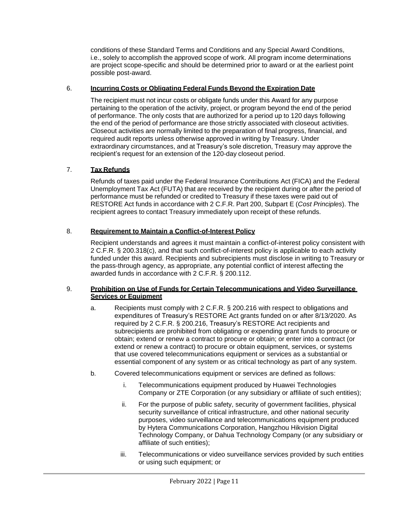conditions of these Standard Terms and Conditions and any Special Award Conditions, i.e., solely to accomplish the approved scope of work. All program income determinations are project scope-specific and should be determined prior to award or at the earliest point possible post-award.

## <span id="page-12-0"></span>6. **Incurring Costs or Obligating Federal Funds Beyond the Expiration Date**

The recipient must not incur costs or obligate funds under this Award for any purpose pertaining to the operation of the activity, project, or program beyond the end of the period of performance. The only costs that are authorized for a period up to 120 days following the end of the period of performance are those strictly associated with closeout activities. Closeout activities are normally limited to the preparation of final progress, financial, and required audit reports unless otherwise approved in writing by Treasury. Under extraordinary circumstances, and at Treasury's sole discretion, Treasury may approve the recipient's request for an extension of the 120-day closeout period.

## <span id="page-12-1"></span>7. **Tax Refunds**

Refunds of taxes paid under the Federal Insurance Contributions Act (FICA) and the Federal Unemployment Tax Act (FUTA) that are received by the recipient during or after the period of performance must be refunded or credited to Treasury if these taxes were paid out of RESTORE Act funds in accordance with 2 C.F.R. Part 200, Subpart E (*Cost Principles*). The recipient agrees to contact Treasury immediately upon receipt of these refunds.

## <span id="page-12-2"></span>8. **Requirement to Maintain a Conflict-of-Interest Policy**

Recipient understands and agrees it must maintain a conflict-of-interest policy consistent with 2 C.F.R. § 200.318(c), and that such conflict-of-interest policy is applicable to each activity funded under this award. Recipients and subrecipients must disclose in writing to Treasury or the pass-through agency, as appropriate, any potential conflict of interest affecting the awarded funds in accordance with 2 C.F.R. § 200.112.

#### <span id="page-12-3"></span>9. **Prohibition on Use of Funds for Certain Telecommunications and Video Surveillance Services or Equipment**

- a. Recipients must comply with 2 C.F.R. § 200.216 with respect to obligations and expenditures of Treasury's RESTORE Act grants funded on or after 8/13/2020. As required by 2 C.F.R. § 200.216, Treasury's RESTORE Act recipients and subrecipients are prohibited from obligating or expending grant funds to procure or obtain; extend or renew a contract to procure or obtain; or enter into a contract (or extend or renew a contract) to procure or obtain equipment, services, or systems that use covered telecommunications equipment or services as a substantial or essential component of any system or as critical technology as part of any system.
- b. Covered telecommunications equipment or services are defined as follows:
	- i. Telecommunications equipment produced by Huawei Technologies Company or ZTE Corporation (or any subsidiary or affiliate of such entities);
	- ii. For the purpose of public safety, security of government facilities, physical security surveillance of critical infrastructure, and other national security purposes, video surveillance and telecommunications equipment produced by Hytera Communications Corporation, Hangzhou Hikvision Digital Technology Company, or Dahua Technology Company (or any subsidiary or affiliate of such entities);
	- iii. Telecommunications or video surveillance services provided by such entities or using such equipment; or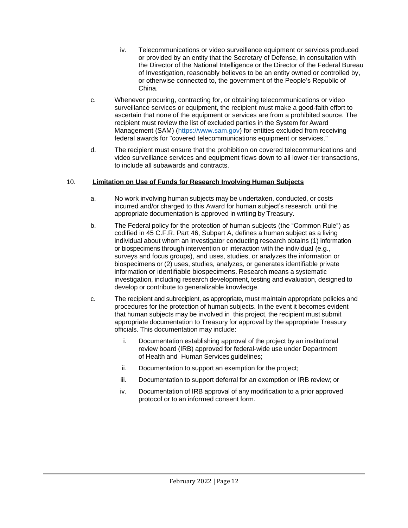- iv. Telecommunications or video surveillance equipment or services produced or provided by an entity that the Secretary of Defense, in consultation with the Director of the National Intelligence or the Director of the Federal Bureau of Investigation, reasonably believes to be an entity owned or controlled by, or otherwise connected to, the government of the People's Republic of China.
- c. Whenever procuring, contracting for, or obtaining telecommunications or video surveillance services or equipment, the recipient must make a good-faith effort to ascertain that none of the equipment or services are from a prohibited source. The recipient must review the list of excluded parties in the System for Award Management (SAM) [\(https://www.sam.gov\)](https://www.sam.gov/) for entities excluded from receiving federal awards for "covered telecommunications equipment or services."
- d. The recipient must ensure that the prohibition on covered telecommunications and video surveillance services and equipment flows down to all lower-tier transactions, to include all subawards and contracts.

## 10. **Limitation on Use of Funds for Research Involving Human Subjects**

- <span id="page-13-0"></span>a. No work involving human subjects may be undertaken, conducted, or costs incurred and/or charged to this Award for human subject's research, until the appropriate documentation is approved in writing by Treasury.
- b. The Federal policy for the protection of human subjects (the "Common Rule") as codified in 45 C.F.R. Part 46, Subpart A, defines a human subject as a living individual about whom an investigator conducting research obtains (1) information or biospecimens through intervention or interaction with the individual (e.g., surveys and focus groups), and uses, studies, or analyzes the information or biospecimens or (2) uses, studies, analyzes, or generates identifiable private information or identifiable biospecimens. Research means a systematic investigation, including research development, testing and evaluation, designed to develop or contribute to generalizable knowledge.
- c. The recipient and subrecipient, as appropriate, must maintain appropriate policies and procedures for the protection of human subjects. In the event it becomes evident that human subjects may be involved in this project, the recipient must submit appropriate documentation to Treasury for approval by the appropriate Treasury officials. This documentation may include:
	- i. Documentation establishing approval of the project by an institutional review board (IRB) approved for federal-wide use under Department of Health and Human Services guidelines;
	- ii. Documentation to support an exemption for the project;
	- iii. Documentation to support deferral for an exemption or IRB review; or
	- iv. Documentation of IRB approval of any modification to a prior approved protocol or to an informed consent form.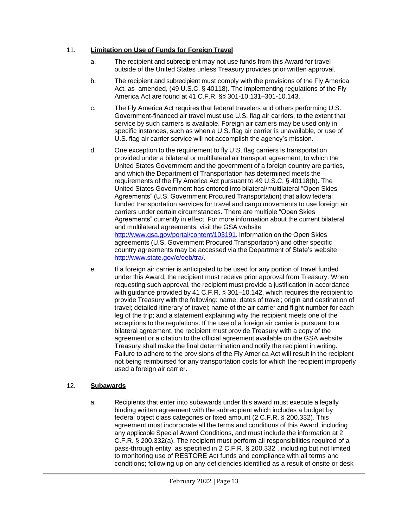## <span id="page-14-0"></span>11. **Limitation on Use of Funds for Foreign Travel**

- a. The recipient and subrecipient may not use funds from this Award for travel outside of the United States unless Treasury provides prior written approval.
- b. The recipient and subrecipient must comply with the provisions of the Fly America Act, as amended, (49 U.S.C. § 40118). The implementing regulations of the Fly America Act are found at 41 C.F.R. §§ 301-10.131–301-10.143.
- c. The Fly America Act requires that federal travelers and others performing U.S. Government-financed air travel must use U.S. flag air carriers, to the extent that service by such carriers is available. Foreign air carriers may be used only in specific instances, such as when a U.S. flag air carrier is unavailable, or use of U.S. flag air carrier service will not accomplish the agency's mission.
- d. One exception to the requirement to fly U.S. flag carriers is transportation provided under a bilateral or multilateral air transport agreement, to which the United States Government and the government of a foreign country are parties, and which the Department of Transportation has determined meets the requirements of the Fly America Act pursuant to 49 U.S.C. § 40118(b). The United States Government has entered into bilateral/multilateral "Open Skies Agreements" (U.S. Government Procured Transportation) that allow federal funded transportation services for travel and cargo movements to use foreign air carriers under certain circumstances. There are multiple "Open Skies Agreements" currently in effect. For more information about the current bilateral and multilateral agreements, visit the GSA website [http://www.gsa.gov/portal/content/103191.](http://www.gsa.gov/portal/content/103191) Information on the Open Skies agreements (U.S. Government Procured Transportation) and other specific country agreements may be accessed via the Department of State's website [http://www.state.gov/e/eeb/tra/.](http://www.state.gov/e/eeb/tra/)
- e. If a foreign air carrier is anticipated to be used for any portion of travel funded under this Award, the recipient must receive prior approval from Treasury. When requesting such approval, the recipient must provide a justification in accordance with guidance provided by 41 C.F.R. § 301–10.142, which requires the recipient to provide Treasury with the following: name; dates of travel; origin and destination of travel; detailed itinerary of travel; name of the air carrier and flight number for each leg of the trip; and a statement explaining why the recipient meets one of the exceptions to the regulations. If the use of a foreign air carrier is pursuant to a bilateral agreement, the recipient must provide Treasury with a copy of the agreement or a citation to the official agreement available on the GSA website. Treasury shall make the final determination and notify the recipient in writing. Failure to adhere to the provisions of the Fly America Act will result in the recipient not being reimbursed for any transportation costs for which the recipient improperly used a foreign air carrier.

## <span id="page-14-1"></span>12. **Subawards**

a. Recipients that enter into subawards under this award must execute a legally binding written agreement with the subrecipient which includes a budget by federal object class categories or fixed amount (2 C.F.R. § 200.332). This agreement must incorporate all the terms and conditions of this Award, including any applicable Special Award Conditions, and must include the information at 2 C.F.R. § 200.332(a). The recipient must perform all responsibilities required of a pass-through entity, as specified in 2 C.F.R. § 200.332 , including but not limited to monitoring use of RESTORE Act funds and compliance with all terms and conditions; following up on any deficiencies identified as a result of onsite or desk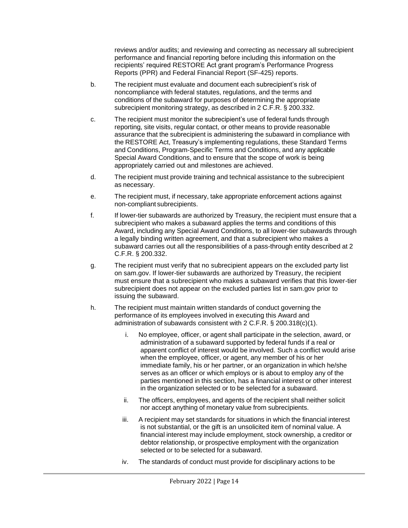reviews and/or audits; and reviewing and correcting as necessary all subrecipient performance and financial reporting before including this information on the recipients' required RESTORE Act grant program's Performance Progress Reports (PPR) and Federal Financial Report (SF-425) reports.

- b. The recipient must evaluate and document each subrecipient's risk of noncompliance with federal statutes, regulations, and the terms and conditions of the subaward for purposes of determining the appropriate subrecipient monitoring strategy, as described in 2 C.F.R. § 200.332.
- c. The recipient must monitor the subrecipient's use of federal funds through reporting, site visits, regular contact, or other means to provide reasonable assurance that the subrecipient is administering the subaward in compliance with the RESTORE Act, Treasury's implementing regulations, these Standard Terms and Conditions, Program-Specific Terms and Conditions, and any applicable Special Award Conditions, and to ensure that the scope of work is being appropriately carried out and milestones are achieved.
- d. The recipient must provide training and technical assistance to the subrecipient as necessary.
- e. The recipient must, if necessary, take appropriate enforcement actions against non-compliant subrecipients.
- f. If lower-tier subawards are authorized by Treasury, the recipient must ensure that a subrecipient who makes a subaward applies the terms and conditions of this Award, including any Special Award Conditions, to all lower-tier subawards through a legally binding written agreement, and that a subrecipient who makes a subaward carries out all the responsibilities of a pass-through entity described at 2 C.F.R. § 200.332.
- g. The recipient must verify that no subrecipient appears on the excluded party list on sam.gov. If lower-tier subawards are authorized by Treasury, the recipient must ensure that a subrecipient who makes a subaward verifies that this lower-tier subrecipient does not appear on the excluded parties list in sam.gov prior to issuing the subaward.
- h. The recipient must maintain written standards of conduct governing the performance of its employees involved in executing this Award and administration of subawards consistent with 2 C.F.R. § 200.318(c)(1).
	- No employee, officer, or agent shall participate in the selection, award, or administration of a subaward supported by federal funds if a real or apparent conflict of interest would be involved. Such a conflict would arise when the employee, officer, or agent, any member of his or her immediate family, his or her partner, or an organization in which he/she serves as an officer or which employs or is about to employ any of the parties mentioned in this section, has a financial interest or other interest in the organization selected or to be selected for a subaward.
	- ii. The officers, employees, and agents of the recipient shall neither solicit nor accept anything of monetary value from subrecipients.
	- iii. A recipient may set standards for situations in which the financial interest is not substantial, or the gift is an unsolicited item of nominal value. A financial interest may include employment, stock ownership, a creditor or debtor relationship, or prospective employment with the organization selected or to be selected for a subaward.
	- iv. The standards of conduct must provide for disciplinary actions to be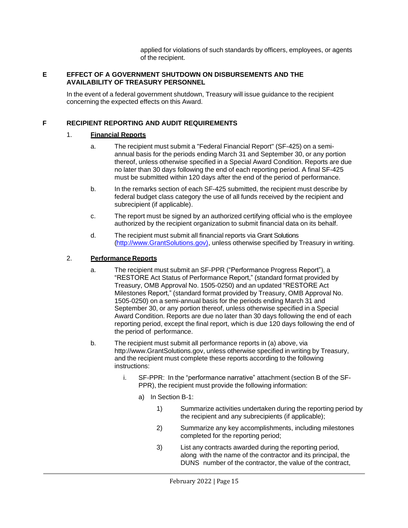applied for violations of such standards by officers, employees, or agents of the recipient.

#### <span id="page-16-0"></span>**E EFFECT OF A GOVERNMENT SHUTDOWN ON DISBURSEMENTS AND THE AVAILABILITY OF TREASURY PERSONNEL**

In the event of a federal government shutdown, Treasury will issue guidance to the recipient concerning the expected effects on this Award.

#### <span id="page-16-2"></span><span id="page-16-1"></span>**F RECIPIENT REPORTING AND AUDIT REQUIREMENTS**

#### 1. **Financial Reports**

- a. The recipient must submit a "Federal Financial Report" (SF-425) on a semiannual basis for the periods ending March 31 and September 30, or any portion thereof, unless otherwise specified in a Special Award Condition. Reports are due no later than 30 days following the end of each reporting period. A final SF-425 must be submitted within 120 days after the end of the period of performance.
- b. In the remarks section of each SF-425 submitted, the recipient must describe by federal budget class category the use of all funds received by the recipient and subrecipient (if applicable).
- c. The report must be signed by an authorized certifying official who is the employee authorized by the recipient organization to submit financial data on its behalf.
- d. The recipient must submit all financial reports via Grant Solutions [\(http://www.GrantSolutions.gov\),](http://www.grantsolutions.gov),/) unless otherwise specified by Treasury in writing.

#### <span id="page-16-3"></span>2. **Performance Reports**

- a. The recipient must submit an SF-PPR ("Performance Progress Report"), a "RESTORE Act Status of Performance Report," (standard format provided by Treasury, OMB Approval No. 1505-0250) and an updated "RESTORE Act Milestones Report," (standard format provided by Treasury, OMB Approval No. 1505-0250) on a semi-annual basis for the periods ending March 31 and September 30, or any portion thereof, unless otherwise specified in a Special Award Condition. Reports are due no later than 30 days following the end of each reporting period, except the final report, which is due 120 days following the end of the period of performance.
- b. The recipient must submit all performance reports in (a) above, via [http://www.GrantSolutions.gov,](http://www.grantsolutions.gov/) unless otherwise specified in writing by Treasury, and the recipient must complete these reports according to the following instructions:
	- i. SF-PPR: In the "performance narrative" attachment (section B of the SF-PPR), the recipient must provide the following information:
		- a) In Section B-1:
			- 1) Summarize activities undertaken during the reporting period by the recipient and any subrecipients (if applicable);
			- 2) Summarize any key accomplishments, including milestones completed for the reporting period;
			- 3) List any contracts awarded during the reporting period, along with the name of the contractor and its principal, the DUNS number of the contractor, the value of the contract,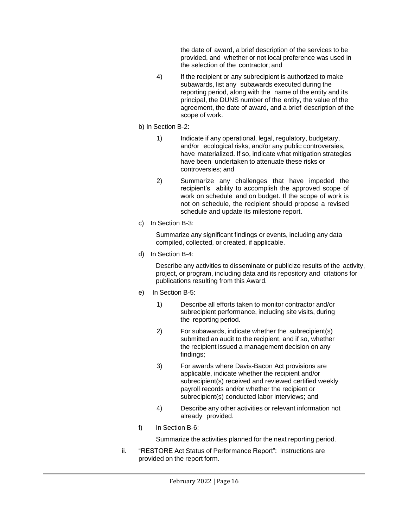the date of award, a brief description of the services to be provided, and whether or not local preference was used in the selection of the contractor; and

- 4) If the recipient or any subrecipient is authorized to make subawards, list any subawards executed during the reporting period, along with the name of the entity and its principal, the DUNS number of the entity, the value of the agreement, the date of award, and a brief description of the scope of work.
- b) In Section B-2:
	- 1) Indicate if any operational, legal, regulatory, budgetary, and/or ecological risks, and/or any public controversies, have materialized. If so, indicate what mitigation strategies have been undertaken to attenuate these risks or controversies; and
	- 2) Summarize any challenges that have impeded the recipient's ability to accomplish the approved scope of work on schedule and on budget. If the scope of work is not on schedule, the recipient should propose a revised schedule and update its milestone report.
- c) In Section B-3:

Summarize any significant findings or events, including any data compiled, collected, or created, if applicable.

d) In Section B-4:

Describe any activities to disseminate or publicize results of the activity, project, or program, including data and its repository and citations for publications resulting from this Award.

- e) In Section B-5:
	- 1) Describe all efforts taken to monitor contractor and/or subrecipient performance, including site visits, during the reporting period.
	- 2) For subawards, indicate whether the subrecipient(s) submitted an audit to the recipient, and if so, whether the recipient issued a management decision on any findings;
	- 3) For awards where Davis-Bacon Act provisions are applicable, indicate whether the recipient and/or subrecipient(s) received and reviewed certified weekly payroll records and/or whether the recipient or subrecipient(s) conducted labor interviews; and
	- 4) Describe any other activities or relevant information not already provided.
- f) In Section B-6:

Summarize the activities planned for the next reporting period.

ii. "RESTORE Act Status of Performance Report": Instructions are provided on the report form.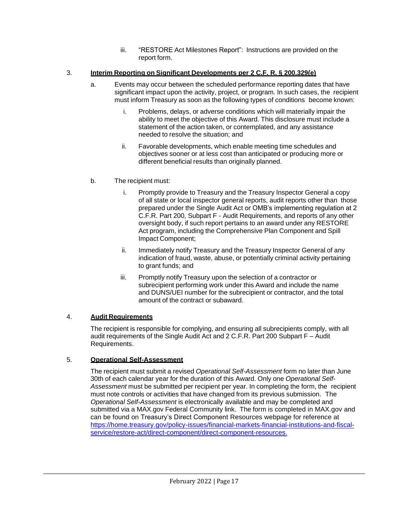iii. "RESTORE Act Milestones Report": Instructions are provided on the report form.

## <span id="page-18-0"></span>3. **Interim Reporting on Significant Developments per 2 C.F. R. § 200.329(e)**

- a. Events may occur between the scheduled performance reporting dates that have significant impact upon the activity, project, or program. In such cases, the recipient must inform Treasury as soon as the following types of conditions become known:
	- i. Problems, delays, or adverse conditions which will materially impair the ability to meet the objective of this Award. This disclosure must include a statement of the action taken, or contemplated, and any assistance needed to resolve the situation; and
	- ii. Favorable developments, which enable meeting time schedules and objectives sooner or at less cost than anticipated or producing more or different beneficial results than originally planned.
- b. The recipient must:
	- i. Promptly provide to Treasury and the Treasury Inspector General a copy of all state or local inspector general reports, audit reports other than those prepared under the Single Audit Act or OMB's implementing regulation at 2 C.F.R. Part 200, Subpart F - Audit Requirements, and reports of any other oversight body, if such report pertains to an award under any RESTORE Act program, including the Comprehensive Plan Component and Spill Impact Component;
	- ii. Immediately notify Treasury and the Treasury Inspector General of any indication of fraud, waste, abuse, or potentially criminal activity pertaining to grant funds; and
	- iii. Promptly notify Treasury upon the selection of a contractor or subrecipient performing work under this Award and include the name and DUNS/UEI number for the subrecipient or contractor, and the total amount of the contract or subaward.

## <span id="page-18-1"></span>4. **Audit Requirements**

The recipient is responsible for complying, and ensuring all subrecipients comply, with all audit requirements of the Single Audit Act and 2 C.F.R. Part 200 Subpart F – Audit Requirements.

## <span id="page-18-2"></span>5. **Operational Self-Assessment**

<span id="page-18-3"></span>The recipient must submit a revised *Operational Self-Assessment* form no later than June 30th of each calendar year for the duration of this Award. Only one *Operational Self-Assessment* must be submitted per recipient per year. In completing the form, the recipient must note controls or activities that have changed from its previous submission. The *Operational Self-Assessment* is electronically available and may be completed and submitted via a MAX.gov Federal Community link. The form is completed in MAX.gov and can be found on Treasury's Direct Component Resources webpage for reference at [https://home.treasury.gov/policy-issues/financial-markets-financial-institutions-and-fiscal](https://home.treasury.gov/policy-issues/financial-markets-financial-institutions-and-fiscal-service/restore-act/direct-component/direct-component-resources)[service/restore-act/direct-component/direct-component-resources.](https://home.treasury.gov/policy-issues/financial-markets-financial-institutions-and-fiscal-service/restore-act/direct-component/direct-component-resources)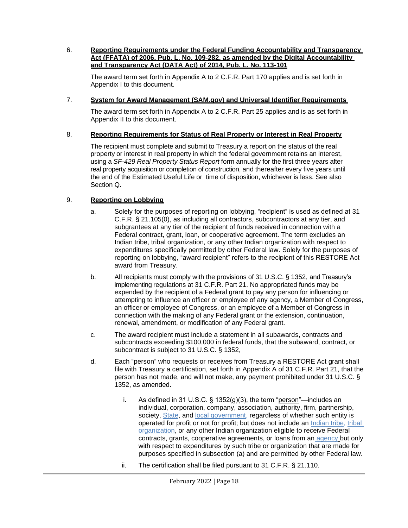#### 6. **Reporting Requirements under the Federal Funding Accountability and Transparency Act (FFATA) of 2006, Pub. L. No. 109-282, as amended by the Digital Accountability and Transparency Act (DATA Act) of 2014, Pub. L. No. 113-101**

The award term set forth in Appendix A to 2 C.F.R. Part 170 applies and is set forth in Appendix I to this document.

#### <span id="page-19-0"></span>7. **System for Award Management (SAM.gov) and Universal Identifier Requirements**

The award term set forth in Appendix A to 2 C.F.R. Part 25 applies and is as set forth in Appendix II to this document.

#### <span id="page-19-1"></span>8. **Reporting Requirements for Status of Real Property or Interest in Real Property**

The recipient must complete and submit to Treasury a report on the status of the real property or interest in real property in which the federal government retains an interest, using a *SF-429 Real Property Status Report* form annually for the first three years after real property acquisition or completion of construction, and thereafter every five years until the end of the Estimated Useful Life or time of disposition, whichever is less. See also Section Q.

#### <span id="page-19-2"></span>9. **Reporting on Lobbying**

- a. Solely for the purposes of reporting on lobbying, "recipient" is used as defined at 31 C.F.R. § 21.105(0), as including all contractors, subcontractors at any tier, and subgrantees at any tier of the recipient of funds received in connection with a Federal contract, grant, loan, or cooperative agreement. The term excludes an Indian tribe, tribal organization, or any other Indian organization with respect to expenditures specifically permitted by other Federal law. Solely for the purposes of reporting on lobbying, "award recipient" refers to the recipient of this RESTORE Act award from Treasury.
- b. All recipients must comply with the provisions of 31 U.S.C. § 1352, and Treasury's implementing regulations at 31 C.F.R. Part 21. No appropriated funds may be expended by the recipient of a Federal grant to pay any person for influencing or attempting to influence an officer or employee of any agency, a Member of Congress, an officer or employee of Congress, or an employee of a Member of Congress in connection with the making of any Federal grant or the extension, continuation, renewal, amendment, or modification of any Federal grant.
- c. The award recipient must include a statement in all subawards, contracts and subcontracts exceeding \$100,000 in federal funds, that the subaward, contract, or subcontract is subject to 31 U.S.C. § 1352,
- d. Each "person" who requests or receives from Treasury a RESTORE Act grant shall file with Treasury a certification, set forth in Appendix A of 31 C.F.R. Part 21, that the person has not made, and will not make, any payment prohibited under 31 U.S.C. § 1352, as amended.
	- i. As defined in 31 U.S.C. § 1352(g)(3), the term ["person"](https://www.law.cornell.edu/definitions/uscode.php?width=840&height=800&iframe=true&def_id=31-USC-991716523-1923927935&term_occur=999&term_src=)—includes an individual, corporation, company, association, authority, firm, partnership, society, [State,](https://www.law.cornell.edu/definitions/uscode.php?width=840&height=800&iframe=true&def_id=31-USC-80204913-1923927936&term_occur=999&term_src=title:31:subtitle:II:chapter:13:subchapter:III:section:1352) and local [government,](https://www.law.cornell.edu/definitions/uscode.php?width=840&height=800&iframe=true&def_id=31-USC-801009210-1923927937&term_occur=999&term_src=title:31:subtitle:II:chapter:13:subchapter:III:section:1352) regardless of whether such entity is operated for profit or not for profit; but does not include an [Indian tribe,](https://www.law.cornell.edu/definitions/uscode.php?width=840&height=800&iframe=true&def_id=31-USC-1121892347-487776172&term_occur=999&term_src=title:31:subtitle:II:chapter:13:subchapter:III:section:1352) [tribal](https://www.law.cornell.edu/definitions/uscode.php?width=840&height=800&iframe=true&def_id=31-USC-1777858031-487776172&term_occur=999&term_src=title:31:subtitle:II:chapter:13:subchapter:III:section:1352)  [organization,](https://www.law.cornell.edu/definitions/uscode.php?width=840&height=800&iframe=true&def_id=31-USC-1777858031-487776172&term_occur=999&term_src=title:31:subtitle:II:chapter:13:subchapter:III:section:1352) or any other Indian organization eligible to receive Federal contracts, grants, cooperative agreements, or loans from an [agency](https://www.law.cornell.edu/definitions/uscode.php?width=840&height=800&iframe=true&def_id=31-USC-1419699195-1923927934&term_occur=999&term_src=) but only with respect to expenditures by such tribe or organization that are made for purposes specified in subsection (a) and are permitted by other Federal law.
	- ii. The certification shall be filed pursuant to 31 C.F.R. § 21.110.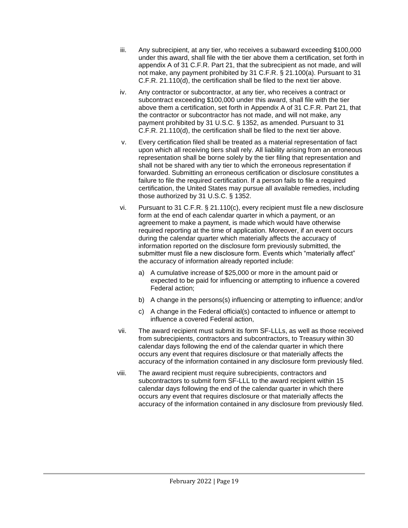- iii. Any subrecipient, at any tier, who receives a subaward exceeding \$100,000 under this award, shall file with the tier above them a certification, set forth in appendix A of 31 C.F.R. Part 21, that the subrecipient as not made, and will not make, any payment prohibited by 31 C.F.R. § 21.100(a). Pursuant to 31 C.F.R. 21.110(d), the certification shall be filed to the next tier above.
- iv. Any contractor or subcontractor, at any tier, who receives a contract or subcontract exceeding \$100,000 under this award, shall file with the tier above them a certification, set forth in Appendix A of 31 C.F.R. Part 21, that the contractor or subcontractor has not made, and will not make, any payment prohibited by 31 U.S.C. § 1352, as amended. Pursuant to 31 C.F.R. 21.110(d), the certification shall be filed to the next tier above.
- v. Every certification filed shall be treated as a material representation of fact upon which all receiving tiers shall rely. All liability arising from an erroneous representation shall be borne solely by the tier filing that representation and shall not be shared with any tier to which the erroneous representation if forwarded. Submitting an erroneous certification or disclosure constitutes a failure to file the required certification. If a person fails to file a required certification, the United States may pursue all available remedies, including those authorized by 31 U.S.C. § 1352.
- vi. Pursuant to 31 C.F.R. § 21.110(c), every recipient must file a new disclosure form at the end of each calendar quarter in which a payment, or an agreement to make a payment, is made which would have otherwise required reporting at the time of application. Moreover, if an event occurs during the calendar quarter which materially affects the accuracy of information reported on the disclosure form previously submitted, the submitter must file a new disclosure form. Events which "materially affect" the accuracy of information already reported include:
	- a) A cumulative increase of \$25,000 or more in the amount paid or expected to be paid for influencing or attempting to influence a covered Federal action;
	- b) A change in the persons(s) influencing or attempting to influence; and/or
	- c) A change in the Federal official(s) contacted to influence or attempt to influence a covered Federal action,
- vii. The award recipient must submit its form SF-LLLs, as well as those received from subrecipients, contractors and subcontractors, to Treasury within 30 calendar days following the end of the calendar quarter in which there occurs any event that requires disclosure or that materially affects the accuracy of the information contained in any disclosure form previously filed.
- <span id="page-20-0"></span>viii. The award recipient must require subrecipients, contractors and subcontractors to submit form SF-LLL to the award recipient within 15 calendar days following the end of the calendar quarter in which there occurs any event that requires disclosure or that materially affects the accuracy of the information contained in any disclosure from previously filed.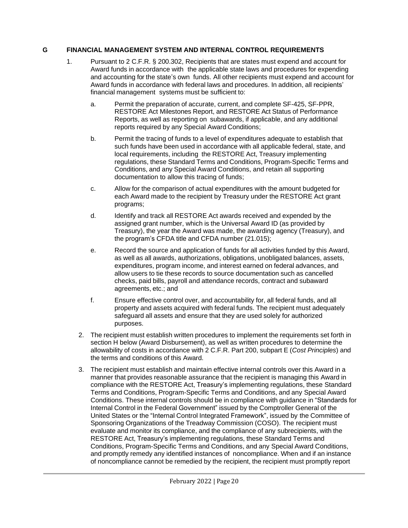## **G FINANCIAL MANAGEMENT SYSTEM AND INTERNAL CONTROL REQUIREMENTS**

- 1. Pursuant to 2 C.F.R. § 200.302, Recipients that are states must expend and account for Award funds in accordance with the applicable state laws and procedures for expending and accounting for the state's own funds. All other recipients must expend and account for Award funds in accordance with federal laws and procedures. In addition, all recipients' financial management systems must be sufficient to:
	- a. Permit the preparation of accurate, current, and complete SF-425, SF-PPR, RESTORE Act Milestones Report, and RESTORE Act Status of Performance Reports, as well as reporting on subawards, if applicable, and any additional reports required by any Special Award Conditions;
	- b. Permit the tracing of funds to a level of expenditures adequate to establish that such funds have been used in accordance with all applicable federal, state, and local requirements, including the RESTORE Act, Treasury implementing regulations, these Standard Terms and Conditions, Program-Specific Terms and Conditions, and any Special Award Conditions, and retain all supporting documentation to allow this tracing of funds;
	- c. Allow for the comparison of actual expenditures with the amount budgeted for each Award made to the recipient by Treasury under the RESTORE Act grant programs;
	- d. Identify and track all RESTORE Act awards received and expended by the assigned grant number, which is the Universal Award ID (as provided by Treasury), the year the Award was made, the awarding agency (Treasury), and the program's CFDA title and CFDA number (21.015);
	- e. Record the source and application of funds for all activities funded by this Award, as well as all awards, authorizations, obligations, unobligated balances, assets, expenditures, program income, and interest earned on federal advances, and allow users to tie these records to source documentation such as cancelled checks, paid bills, payroll and attendance records, contract and subaward agreements, etc.; and
	- f. Ensure effective control over, and accountability for, all federal funds, and all property and assets acquired with federal funds. The recipient must adequately safeguard all assets and ensure that they are used solely for authorized purposes.
	- 2. The recipient must establish written procedures to implement the requirements set forth in section H below (Award Disbursement), as well as written procedures to determine the allowability of costs in accordance with 2 C.F.R. Part 200, subpart E (*Cost Principles*) and the terms and conditions of this Award.
	- 3. The recipient must establish and maintain effective internal controls over this Award in a manner that provides reasonable assurance that the recipient is managing this Award in compliance with the RESTORE Act, Treasury's implementing regulations, these Standard Terms and Conditions, Program-Specific Terms and Conditions, and any Special Award Conditions. These internal controls should be in compliance with guidance in "Standards for Internal Control in the Federal Government" issued by the Comptroller General of the United States or the "Internal Control Integrated Framework", issued by the Committee of Sponsoring Organizations of the Treadway Commission (COSO). The recipient must evaluate and monitor its compliance, and the compliance of any subrecipients, with the RESTORE Act, Treasury's implementing regulations, these Standard Terms and Conditions, Program-Specific Terms and Conditions, and any Special Award Conditions, and promptly remedy any identified instances of noncompliance. When and if an instance of noncompliance cannot be remedied by the recipient, the recipient must promptly report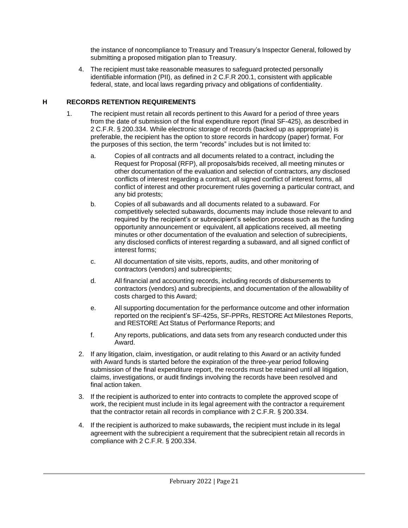the instance of noncompliance to Treasury and Treasury's Inspector General, followed by submitting a proposed mitigation plan to Treasury.

4. The recipient must take reasonable measures to safeguard protected personally identifiable information (PII), as defined in 2 C.F.R 200.1, consistent with applicable federal, state, and local laws regarding privacy and obligations of confidentiality.

## <span id="page-22-0"></span>**H RECORDS RETENTION REQUIREMENTS**

- <span id="page-22-1"></span>1. The recipient must retain all records pertinent to this Award for a period of three years from the date of submission of the final expenditure report (final SF-425), as described in 2 C.F.R. § 200.334. While electronic storage of records (backed up as appropriate) is preferable, the recipient has the option to store records in hardcopy (paper) format. For the purposes of this section, the term "records" includes but is not limited to:
	- a. Copies of all contracts and all documents related to a contract, including the Request for Proposal (RFP), all proposals/bids received, all meeting minutes or other documentation of the evaluation and selection of contractors, any disclosed conflicts of interest regarding a contract, all signed conflict of interest forms, all conflict of interest and other procurement rules governing a particular contract, and any bid protests;
	- b. Copies of all subawards and all documents related to a subaward. For competitively selected subawards, documents may include those relevant to and required by the recipient's or subrecipient's selection process such as the funding opportunity announcement or equivalent, all applications received, all meeting minutes or other documentation of the evaluation and selection of subrecipients, any disclosed conflicts of interest regarding a subaward, and all signed conflict of interest forms;
	- c. All documentation of site visits, reports, audits, and other monitoring of contractors (vendors) and subrecipients;
	- d. All financial and accounting records, including records of disbursements to contractors (vendors) and subrecipients, and documentation of the allowability of costs charged to this Award;
	- e. All supporting documentation for the performance outcome and other information reported on the recipient's SF-425s, SF-PPRs, RESTORE Act Milestones Reports, and RESTORE Act Status of Performance Reports; and
	- f. Any reports, publications, and data sets from any research conducted under this Award.
	- 2. If any litigation, claim, investigation, or audit relating to this Award or an activity funded with Award funds is started before the expiration of the three-year period following submission of the final expenditure report, the records must be retained until all litigation, claims, investigations, or audit findings involving the records have been resolved and final action taken.
	- 3. If the recipient is authorized to enter into contracts to complete the approved scope of work, the recipient must include in its legal agreement with the contractor a requirement that the contractor retain all records in compliance with 2 C.F.R. § 200.334.
	- 4. If the recipient is authorized to make subawards, the recipient must include in its legal agreement with the subrecipient a requirement that the subrecipient retain all records in compliance with 2 C.F.R. § 200.334.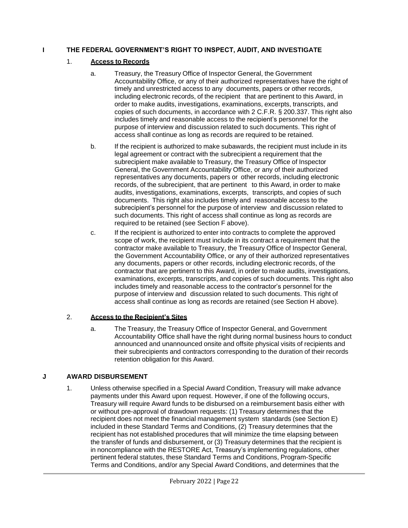## <span id="page-23-0"></span>**I THE FEDERAL GOVERNMENT'S RIGHT TO INSPECT, AUDIT, AND INVESTIGATE**

## 1. **Access to Records**

- a. Treasury, the Treasury Office of Inspector General, the Government Accountability Office, or any of their authorized representatives have the right of timely and unrestricted access to any documents, papers or other records, including electronic records, of the recipient that are pertinent to this Award, in order to make audits, investigations, examinations, excerpts, transcripts, and copies of such documents, in accordance with 2 C.F.R. § 200.337. This right also includes timely and reasonable access to the recipient's personnel for the purpose of interview and discussion related to such documents. This right of access shall continue as long as records are required to be retained.
- b. If the recipient is authorized to make subawards, the recipient must include in its legal agreement or contract with the subrecipient a requirement that the subrecipient make available to Treasury, the Treasury Office of Inspector General, the Government Accountability Office, or any of their authorized representatives any documents, papers or other records, including electronic records, of the subrecipient, that are pertinent to this Award, in order to make audits, investigations, examinations, excerpts, transcripts, and copies of such documents. This right also includes timely and reasonable access to the subrecipient's personnel for the purpose of interview and discussion related to such documents. This right of access shall continue as long as records are required to be retained (see Section F above).
- c. If the recipient is authorized to enter into contracts to complete the approved scope of work, the recipient must include in its contract a requirement that the contractor make available to Treasury, the Treasury Office of Inspector General, the Government Accountability Office, or any of their authorized representatives any documents, papers or other records, including electronic records, of the contractor that are pertinent to this Award, in order to make audits, investigations, examinations, excerpts, transcripts, and copies of such documents. This right also includes timely and reasonable access to the contractor's personnel for the purpose of interview and discussion related to such documents. This right of access shall continue as long as records are retained (see Section H above).

## <span id="page-23-1"></span>2. **Access to the Recipient's Sites**

a. The Treasury, the Treasury Office of Inspector General, and Government Accountability Office shall have the right during normal business hours to conduct announced and unannounced onsite and offsite physical visits of recipients and their subrecipients and contractors corresponding to the duration of their records retention obligation for this Award.

## <span id="page-23-2"></span>**J AWARD DISBURSEMENT**

1. Unless otherwise specified in a Special Award Condition, Treasury will make advance payments under this Award upon request. However, if one of the following occurs, Treasury will require Award funds to be disbursed on a reimbursement basis either with or without pre-approval of drawdown requests: (1) Treasury determines that the recipient does not meet the financial management system standards (see Section E) included in these Standard Terms and Conditions, (2) Treasury determines that the recipient has not established procedures that will minimize the time elapsing between the transfer of funds and disbursement, or (3) Treasury determines that the recipient is in noncompliance with the RESTORE Act, Treasury's implementing regulations, other pertinent federal statutes, these Standard Terms and Conditions, Program-Specific Terms and Conditions, and/or any Special Award Conditions, and determines that the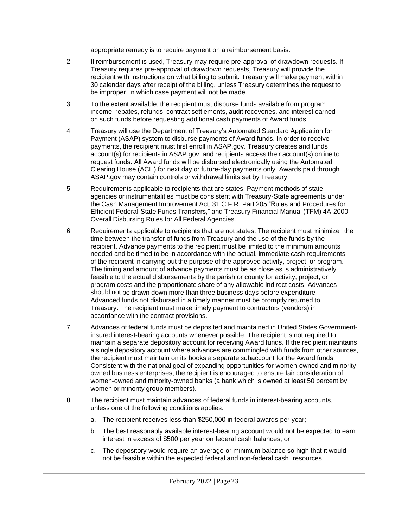appropriate remedy is to require payment on a reimbursement basis.

- 2. If reimbursement is used, Treasury may require pre-approval of drawdown requests. If Treasury requires pre-approval of drawdown requests, Treasury will provide the recipient with instructions on what billing to submit. Treasury will make payment within 30 calendar days after receipt of the billing, unless Treasury determines the request to be improper, in which case payment will not be made.
- 3. To the extent available, the recipient must disburse funds available from program income, rebates, refunds, contract settlements, audit recoveries, and interest earned on such funds before requesting additional cash payments of Award funds.
- 4. Treasury will use the Department of Treasury's Automated Standard Application for Payment (ASAP) system to disburse payments of Award funds. In order to receive payments, the recipient must first enroll in ASAP.gov. Treasury creates and funds account(s) for recipients in ASAP.gov, and recipients access their account(s) online to request funds. All Award funds will be disbursed electronically using the Automated Clearing House (ACH) for next day or future-day payments only. Awards paid through ASAP.gov may contain controls or withdrawal limits set by Treasury.
- 5. Requirements applicable to recipients that are states: Payment methods of state agencies or instrumentalities must be consistent with Treasury-State agreements under the Cash Management Improvement Act, 31 C.F.R. Part 205 "Rules and Procedures for Efficient Federal-State Funds Transfers," and Treasury Financial Manual (TFM) 4A-2000 Overall Disbursing Rules for All Federal Agencies.
- 6. Requirements applicable to recipients that are not states: The recipient must minimize the time between the transfer of funds from Treasury and the use of the funds by the recipient. Advance payments to the recipient must be limited to the minimum amounts needed and be timed to be in accordance with the actual, immediate cash requirements of the recipient in carrying out the purpose of the approved activity, project, or program. The timing and amount of advance payments must be as close as is administratively feasible to the actual disbursements by the parish or county for activity, project, or program costs and the proportionate share of any allowable indirect costs. Advances should not be drawn down more than three business days before expenditure. Advanced funds not disbursed in a timely manner must be promptly returned to Treasury. The recipient must make timely payment to contractors (vendors) in accordance with the contract provisions.
- 7. Advances of federal funds must be deposited and maintained in United States Governmentinsured interest-bearing accounts whenever possible. The recipient is not required to maintain a separate depository account for receiving Award funds. If the recipient maintains a single depository account where advances are commingled with funds from other sources, the recipient must maintain on its books a separate subaccount for the Award funds. Consistent with the national goal of expanding opportunities for women-owned and minorityowned business enterprises, the recipient is encouraged to ensure fair consideration of women-owned and minority-owned banks (a bank which is owned at least 50 percent by women or minority group members).
- 8. The recipient must maintain advances of federal funds in interest-bearing accounts, unless one of the following conditions applies:
	- a. The recipient receives less than \$250,000 in federal awards per year;
	- b. The best reasonably available interest-bearing account would not be expected to earn interest in excess of \$500 per year on federal cash balances; or
	- c. The depository would require an average or minimum balance so high that it would not be feasible within the expected federal and non-federal cash resources.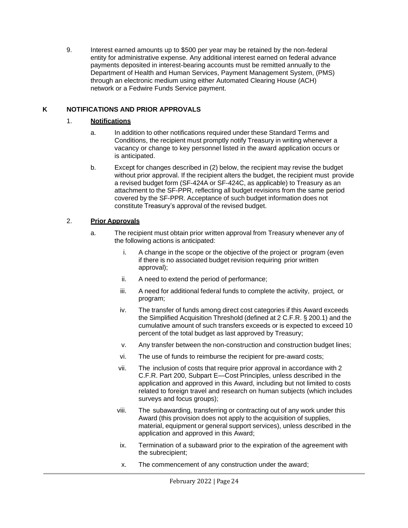9. Interest earned amounts up to \$500 per year may be retained by the non-federal entity for administrative expense. Any additional interest earned on federal advance payments deposited in interest-bearing accounts must be remitted annually to the Department of Health and Human Services, Payment Management System, (PMS) through an electronic medium using either Automated Clearing House (ACH) network or a Fedwire Funds Service payment.

## <span id="page-25-1"></span><span id="page-25-0"></span>**K NOTIFICATIONS AND PRIOR APPROVALS**

#### 1. **Notifications**

- a. In addition to other notifications required under these Standard Terms and Conditions, the recipient must promptly notify Treasury in writing whenever a vacancy or change to key personnel listed in the award application occurs or is anticipated.
- b. Except for changes described in (2) below, the recipient may revise the budget without prior approval. If the recipient alters the budget, the recipient must provide a revised budget form (SF-424A or SF-424C, as applicable) to Treasury as an attachment to the SF-PPR, reflecting all budget revisions from the same period covered by the SF-PPR. Acceptance of such budget information does not constitute Treasury's approval of the revised budget.

## <span id="page-25-2"></span>2. **Prior Approvals**

- a. The recipient must obtain prior written approval from Treasury whenever any of the following actions is anticipated:
	- i. A change in the scope or the objective of the project or program (even if there is no associated budget revision requiring prior written approval);
	- ii. A need to extend the period of performance;
	- iii. A need for additional federal funds to complete the activity, project, or program;
	- iv. The transfer of funds among direct cost categories if this Award exceeds the Simplified Acquisition Threshold (defined at 2 C.F.R. § 200.1) and the cumulative amount of such transfers exceeds or is expected to exceed 10 percent of the total budget as last approved by Treasury;
	- v. Any transfer between the non-construction and construction budget lines;
	- vi. The use of funds to reimburse the recipient for pre-award costs;
	- vii. The inclusion of costs that require prior approval in accordance with 2 C.F.R. Part 200, Subpart E—Cost Principles, unless described in the application and approved in this Award, including but not limited to costs related to foreign travel and research on human subjects (which includes surveys and focus groups);
	- viii. The subawarding, transferring or contracting out of any work under this Award (this provision does not apply to the acquisition of supplies, material, equipment or general support services), unless described in the application and approved in this Award;
	- ix. Termination of a subaward prior to the expiration of the agreement with the subrecipient;
	- x. The commencement of any construction under the award;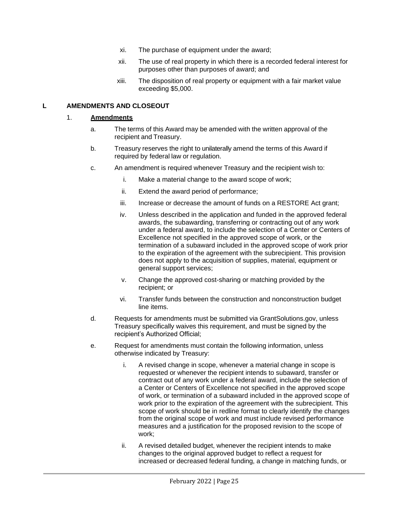- xi. The purchase of equipment under the award;
- xii. The use of real property in which there is a recorded federal interest for purposes other than purposes of award; and
- xiii. The disposition of real property or equipment with a fair market value exceeding \$5,000.

## <span id="page-26-1"></span><span id="page-26-0"></span>**L AMENDMENTS AND CLOSEOUT**

#### 1. **Amendments**

- a. The terms of this Award may be amended with the written approval of the recipient and Treasury.
- b. Treasury reserves the right to unilaterally amend the terms of this Award if required by federal law or regulation.
- c. An amendment is required whenever Treasury and the recipient wish to:
	- i. Make a material change to the award scope of work;
	- ii. Extend the award period of performance;
	- iii. Increase or decrease the amount of funds on a RESTORE Act grant;
	- iv. Unless described in the application and funded in the approved federal awards, the subawarding, transferring or contracting out of any work under a federal award, to include the selection of a Center or Centers of Excellence not specified in the approved scope of work, or the termination of a subaward included in the approved scope of work prior to the expiration of the agreement with the subrecipient. This provision does not apply to the acquisition of supplies, material, equipment or general support services;
	- v. Change the approved cost-sharing or matching provided by the recipient; or
	- vi. Transfer funds between the construction and nonconstruction budget line items.
- d. Requests for amendments must be submitted via GrantSolutions.gov, unless Treasury specifically waives this requirement, and must be signed by the recipient's Authorized Official;
- e. Request for amendments must contain the following information, unless otherwise indicated by Treasury:
	- i. A revised change in scope, whenever a material change in scope is requested or whenever the recipient intends to subaward, transfer or contract out of any work under a federal award, include the selection of a Center or Centers of Excellence not specified in the approved scope of work, or termination of a subaward included in the approved scope of work prior to the expiration of the agreement with the subrecipient. This scope of work should be in redline format to clearly identify the changes from the original scope of work and must include revised performance measures and a justification for the proposed revision to the scope of work;
	- ii. A revised detailed budget, whenever the recipient intends to make changes to the original approved budget to reflect a request for increased or decreased federal funding, a change in matching funds, or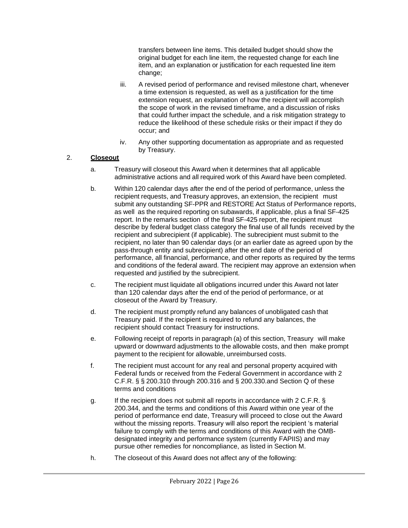transfers between line items. This detailed budget should show the original budget for each line item, the requested change for each line item, and an explanation or justification for each requested line item change;

- iii. A revised period of performance and revised milestone chart, whenever a time extension is requested, as well as a justification for the time extension request, an explanation of how the recipient will accomplish the scope of work in the revised timeframe, and a discussion of risks that could further impact the schedule, and a risk mitigation strategy to reduce the likelihood of these schedule risks or their impact if they do occur; and
- iv. Any other supporting documentation as appropriate and as requested by Treasury.

## <span id="page-27-0"></span>2. **Closeout**

- a. Treasury will closeout this Award when it determines that all applicable administrative actions and all required work of this Award have been completed.
- b. Within 120 calendar days after the end of the period of performance, unless the recipient requests, and Treasury approves, an extension, the recipient must submit any outstanding SF-PPR and RESTORE Act Status of Performance reports, as well as the required reporting on subawards, if applicable, plus a final SF-425 report. In the remarks section of the final SF-425 report, the recipient must describe by federal budget class category the final use of all funds received by the recipient and subrecipient (if applicable). The subrecipient must submit to the recipient, no later than 90 calendar days (or an earlier date as agreed upon by the pass-through entity and subrecipient) after the end date of the period of performance, all financial, performance, and other reports as required by the terms and conditions of the federal award. The recipient may approve an extension when requested and justified by the subrecipient.
- c. The recipient must liquidate all obligations incurred under this Award not later than 120 calendar days after the end of the period of performance, or at closeout of the Award by Treasury.
- d. The recipient must promptly refund any balances of unobligated cash that Treasury paid. If the recipient is required to refund any balances, the recipient should contact Treasury for instructions.
- e. Following receipt of reports in paragraph (a) of this section, Treasury will make upward or downward adjustments to the allowable costs, and then make prompt payment to the recipient for allowable, unreimbursed costs.
- f. The recipient must account for any real and personal property acquired with Federal funds or received from the Federal Government in accordance with 2 C.F.R. § § 200.310 through 200.316 and § 200.330.and Section Q of these terms and conditions
- g. If the recipient does not submit all reports in accordance with 2 C.F.R. § 200.344, and the terms and conditions of this Award within one year of the period of performance end date, Treasury will proceed to close out the Award without the missing reports. Treasury will also report the recipient 's material failure to comply with the terms and conditions of this Award with the OMBdesignated integrity and performance system (currently FAPIIS) and may pursue other remedies for noncompliance, as listed in Section M.
- h. The closeout of this Award does not affect any of the following: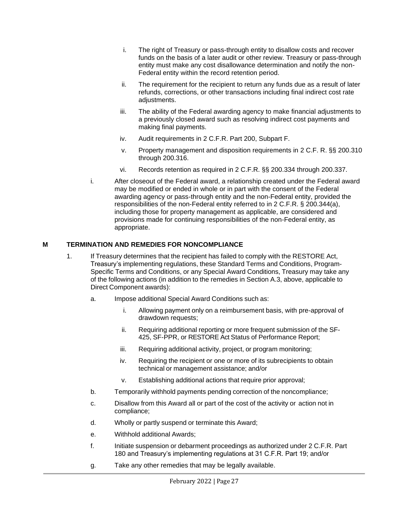- i. The right of Treasury or pass-through entity to disallow costs and recover funds on the basis of a later audit or other review. Treasury or pass-through entity must make any cost disallowance determination and notify the non-Federal entity within the record retention period.
- ii. The requirement for the recipient to return any funds due as a result of later refunds, corrections, or other transactions including final indirect cost rate adjustments.
- iii. The ability of the Federal awarding agency to make financial adjustments to a previously closed award such as resolving indirect cost payments and making final payments.
- iv. Audit requirements in 2 C.F.R. Part 200, Subpart F.
- v. Property management and disposition requirements in 2 C.F. R. §§ 200.310 through 200.316.
- vi. Records retention as required in 2 C.F.R. §§ 200.334 through 200.337.
- i. After closeout of the Federal award, a relationship created under the Federal award may be modified or ended in whole or in part with the consent of the Federal awarding agency or pass-through entity and the non-Federal entity, provided the responsibilities of the non-Federal entity referred to in 2 C.F.R. § 200.344(a), including those for property management as applicable, are considered and provisions made for continuing responsibilities of the non-Federal entity, as appropriate.

## <span id="page-28-0"></span>**M TERMINATION AND REMEDIES FOR NONCOMPLIANCE**

- 1. If Treasury determines that the recipient has failed to comply with the RESTORE Act, Treasury's implementing regulations, these Standard Terms and Conditions, Program-Specific Terms and Conditions, or any Special Award Conditions, Treasury may take any of the following actions (in addition to the remedies in Section A.3, above, applicable to Direct Component awards):
	- a. Impose additional Special Award Conditions such as:
		- i. Allowing payment only on a reimbursement basis, with pre-approval of drawdown requests;
		- ii. Requiring additional reporting or more frequent submission of the SF-425, SF-PPR, or RESTORE Act Status of Performance Report;
		- iii. Requiring additional activity, project, or program monitoring;
		- iv. Requiring the recipient or one or more of its subrecipients to obtain technical or management assistance; and/or
		- v. Establishing additional actions that require prior approval;
	- b. Temporarily withhold payments pending correction of the noncompliance;
	- c. Disallow from this Award all or part of the cost of the activity or action not in compliance;
	- d. Wholly or partly suspend or terminate this Award;
	- e. Withhold additional Awards;
	- f. Initiate suspension or debarment proceedings as authorized under 2 C.F.R. Part 180 and Treasury's implementing regulations at 31 C.F.R. Part 19; and/or
	- g. Take any other remedies that may be legally available.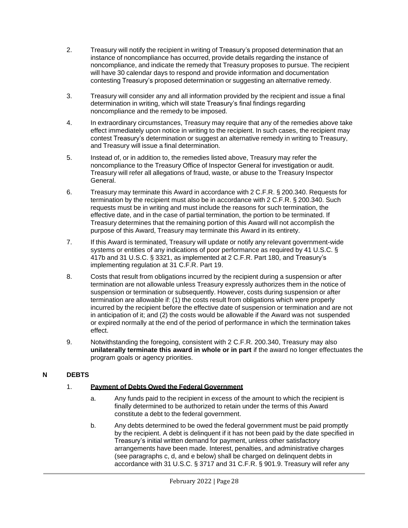- 2. Treasury will notify the recipient in writing of Treasury's proposed determination that an instance of noncompliance has occurred, provide details regarding the instance of noncompliance, and indicate the remedy that Treasury proposes to pursue. The recipient will have 30 calendar days to respond and provide information and documentation contesting Treasury's proposed determination or suggesting an alternative remedy.
- 3. Treasury will consider any and all information provided by the recipient and issue a final determination in writing, which will state Treasury's final findings regarding noncompliance and the remedy to be imposed.
- 4. In extraordinary circumstances, Treasury may require that any of the remedies above take effect immediately upon notice in writing to the recipient. In such cases, the recipient may contest Treasury's determination or suggest an alternative remedy in writing to Treasury, and Treasury will issue a final determination.
- 5. Instead of, or in addition to, the remedies listed above, Treasury may refer the noncompliance to the Treasury Office of Inspector General for investigation or audit. Treasury will refer all allegations of fraud, waste, or abuse to the Treasury Inspector General.
- 6. Treasury may terminate this Award in accordance with 2 C.F.R. § 200.340. Requests for termination by the recipient must also be in accordance with 2 C.F.R. § 200.340. Such requests must be in writing and must include the reasons for such termination, the effective date, and in the case of partial termination, the portion to be terminated. If Treasury determines that the remaining portion of this Award will not accomplish the purpose of this Award, Treasury may terminate this Award in its entirety.
- 7. If this Award is terminated, Treasury will update or notify any relevant government-wide systems or entities of any indications of poor performance as required by 41 U.S.C. § 417b and 31 U.S.C. § 3321, as implemented at 2 C.F.R. Part 180, and Treasury's implementing regulation at 31 C.F.R. Part 19.
- 8. Costs that result from obligations incurred by the recipient during a suspension or after termination are not allowable unless Treasury expressly authorizes them in the notice of suspension or termination or subsequently. However, costs during suspension or after termination are allowable if: (1) the costs result from obligations which were properly incurred by the recipient before the effective date of suspension or termination and are not in anticipation of it; and (2) the costs would be allowable if the Award was not suspended or expired normally at the end of the period of performance in which the termination takes effect.
- 9. Notwithstanding the foregoing, consistent with 2 C.F.R. 200.340, Treasury may also **unilaterally terminate this award in whole or in part** if the award no longer effectuates the program goals or agency priorities.

## <span id="page-29-1"></span><span id="page-29-0"></span>**N DEBTS**

## 1. **Payment of Debts Owed the Federal Government**

- a. Any funds paid to the recipient in excess of the amount to which the recipient is finally determined to be authorized to retain under the terms of this Award constitute a debt to the federal government.
- b. Any debts determined to be owed the federal government must be paid promptly by the recipient. A debt is delinquent if it has not been paid by the date specified in Treasury's initial written demand for payment, unless other satisfactory arrangements have been made. Interest, penalties, and administrative charges (see paragraphs c, d, and e below) shall be charged on delinquent debts in accordance with 31 U.S.C. § 3717 and 31 C.F.R. § 901.9. Treasury will refer any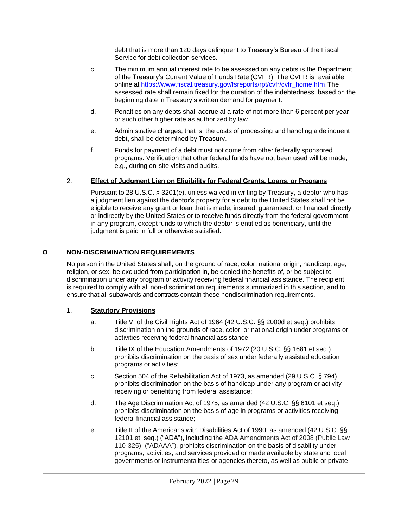debt that is more than 120 days delinquent to Treasury's Bureau of the Fiscal Service for debt collection services.

- c. The minimum annual interest rate to be assessed on any debts is the Department of the Treasury's Current Value of Funds Rate (CVFR). The CVFR is available online at [https://www.fiscal.treasury.gov/fsreports/rpt/cvfr/cvfr\\_home.htm.T](https://www.fiscal.treasury.gov/fsreports/rpt/cvfr/cvfr_home.htm)he assessed rate shall remain fixed for the duration of the indebtedness, based on the beginning date in Treasury's written demand for payment.
- d. Penalties on any debts shall accrue at a rate of not more than 6 percent per year or such other higher rate as authorized by law.
- e. Administrative charges, that is, the costs of processing and handling a delinquent debt, shall be determined by Treasury.
- f. Funds for payment of a debt must not come from other federally sponsored programs. Verification that other federal funds have not been used will be made, e.g., during on-site visits and audits.

## <span id="page-30-0"></span>2. **Effect of Judgment Lien on Eligibility for Federal Grants, Loans, or Programs**

Pursuant to 28 U.S.C. § 3201(e), unless waived in writing by Treasury, a debtor who has a judgment lien against the debtor's property for a debt to the United States shall not be eligible to receive any grant or loan that is made, insured, guaranteed, or financed directly or indirectly by the United States or to receive funds directly from the federal government in any program, except funds to which the debtor is entitled as beneficiary, until the judgment is paid in full or otherwise satisfied.

## <span id="page-30-1"></span>**O NON-DISCRIMINATION REQUIREMENTS**

No person in the United States shall, on the ground of race, color, national origin, handicap, age, religion, or sex, be excluded from participation in, be denied the benefits of, or be subject to discrimination under any program or activity receiving federal financial assistance. The recipient is required to comply with all non-discrimination requirements summarized in this section, and to ensure that all subawards and contracts contain these nondiscrimination requirements.

## <span id="page-30-2"></span>1. **Statutory Provisions**

- a. Title VI of the Civil Rights Act of 1964 (42 U.S.C. §§ 2000d et seq.) prohibits discrimination on the grounds of race, color, or national origin under programs or activities receiving federal financial assistance;
- b. Title IX of the Education Amendments of 1972 (20 U.S.C. §§ 1681 et seq.) prohibits discrimination on the basis of sex under federally assisted education programs or activities;
- c. Section 504 of the Rehabilitation Act of 1973, as amended (29 U.S.C. § 794) prohibits discrimination on the basis of handicap under any program or activity receiving or benefitting from federal assistance;
- d. The Age Discrimination Act of 1975, as amended (42 U.S.C. §§ 6101 et seq.), prohibits discrimination on the basis of age in programs or activities receiving federal financial assistance;
- e. Title II of the Americans with Disabilities Act of 1990, as amended (42 U.S.C. §§ 12101 et seq.) ("ADA"), including the ADA Amendments Act of 2008 (Public Law 110-325), ("ADAAA"), prohibits discrimination on the basis of disability under programs, activities, and services provided or made available by state and local governments or instrumentalities or agencies thereto, as well as public or private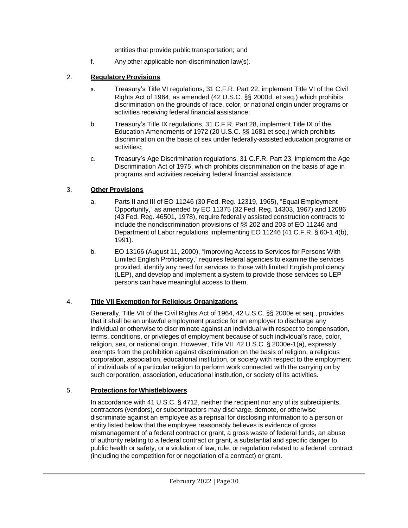entities that provide public transportation; and

f. Any other applicable non-discrimination law(s).

## <span id="page-31-0"></span>2. **Regulatory Provisions**

- a. Treasury's Title VI regulations, 31 C.F.R. Part 22, implement Title VI of the Civil Rights Act of 1964, as amended (42 U.S.C. §§ 2000d, et seq.) which prohibits discrimination on the grounds of race, color, or national origin under programs or activities receiving federal financial assistance;
- b. Treasury's Title IX regulations, 31 C.F.R. Part 28, implement Title IX of the Education Amendments of 1972 (20 U.S.C. §§ 1681 et seq.) which prohibits discrimination on the basis of sex under federally-assisted education programs or activities**;**
- c. Treasury's Age Discrimination regulations, 31 C.F.R. Part 23, implement the Age Discrimination Act of 1975, which prohibits discrimination on the basis of age in programs and activities receiving federal financial assistance.

## <span id="page-31-1"></span>3. **Other Provisions**

- a. Parts II and III of EO 11246 (30 Fed. Reg. 12319, 1965), "Equal Employment Opportunity," as amended by EO 11375 (32 Fed. Reg. 14303, 1967) and 12086 (43 Fed. Reg. 46501, 1978), require federally assisted construction contracts to include the nondiscrimination provisions of §§ 202 and 203 of EO 11246 and Department of Labor regulations implementing EO 11246 (41 C.F.R. § 60-1.4(b), 1991).
- b. EO 13166 (August 11, 2000), "Improving Access to Services for Persons With Limited English Proficiency," requires federal agencies to examine the services provided, identify any need for services to those with limited English proficiency (LEP), and develop and implement a system to provide those services so LEP persons can have meaningful access to them.

## <span id="page-31-2"></span>4. **Title VII Exemption for Religious Organizations**

Generally, Title VII of the Civil Rights Act of 1964, 42 U.S.C. §§ 2000e et seq., provides that it shall be an unlawful employment practice for an employer to discharge any individual or otherwise to discriminate against an individual with respect to compensation, terms, conditions, or privileges of employment because of such individual's race, color, religion, sex, or national origin. However, Title VII, 42 U.S.C. § 2000e-1(a), expressly exempts from the prohibition against discrimination on the basis of religion, a religious corporation, association, educational institution, or society with respect to the employment of individuals of a particular religion to perform work connected with the carrying on by such corporation, association, educational institution, or society of its activities.

## <span id="page-31-3"></span>5. **Protections for Whistleblowers**

In accordance with 41 U.S.C. § 4712, neither the recipient nor any of its subrecipients, contractors (vendors), or subcontractors may discharge, demote, or otherwise discriminate against an employee as a reprisal for disclosing information to a person or entity listed below that the employee reasonably believes is evidence of gross mismanagement of a federal contract or grant, a gross waste of federal funds, an abuse of authority relating to a federal contract or grant, a substantial and specific danger to public health or safety, or a violation of law, rule, or regulation related to a federal contract (including the competition for or negotiation of a contract) or grant.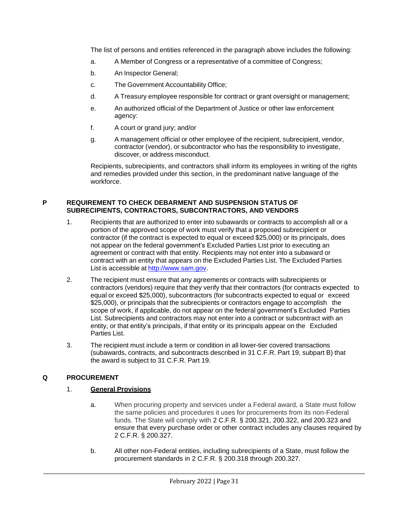The list of persons and entities referenced in the paragraph above includes the following:

- a. A Member of Congress or a representative of a committee of Congress;
- b. An Inspector General;
- c. The Government Accountability Office;
- d. A Treasury employee responsible for contract or grant oversight or management;
- e. An authorized official of the Department of Justice or other law enforcement agency:
- f. A court or grand jury; and/or
- g. A management official or other employee of the recipient, subrecipient, vendor, contractor (vendor), or subcontractor who has the responsibility to investigate, discover, or address misconduct.

Recipients, subrecipients, and contractors shall inform its employees in writing of the rights and remedies provided under this section, in the predominant native language of the workforce.

## <span id="page-32-0"></span>**P REQUIREMENT TO CHECK DEBARMENT AND SUSPENSION STATUS OF SUBRECIPIENTS, CONTRACTORS, SUBCONTRACTORS, AND VENDORS**

- 1. Recipients that are authorized to enter into subawards or contracts to accomplish all or a portion of the approved scope of work must verify that a proposed subrecipient or contractor (if the contract is expected to equal or exceed \$25,000) or its principals, does not appear on the federal government's Excluded Parties List prior to executing an agreement or contract with that entity. Recipients may not enter into a subaward or contract with an entity that appears on the Excluded Parties List. The Excluded Parties List is accessible at [http://www.sam.gov.](http://www.sam.gov/)
- 2. The recipient must ensure that any agreements or contracts with subrecipients or contractors (vendors) require that they verify that their contractors (for contracts expected to equal or exceed \$25,000), subcontractors (for subcontracts expected to equal or exceed \$25,000), or principals that the subrecipients or contractors engage to accomplish the scope of work, if applicable, do not appear on the federal government's Excluded Parties List. Subrecipients and contractors may not enter into a contract or subcontract with an entity, or that entity's principals, if that entity or its principals appear on the Excluded Parties List.
- 3. The recipient must include a term or condition in all lower-tier covered transactions (subawards, contracts, and subcontracts described in 31 C.F.R. Part 19, subpart B) that the award is subject to 31 C.F.R. Part 19.

## <span id="page-32-2"></span><span id="page-32-1"></span>**Q PROCUREMENT**

## 1. **General Provisions**

- a. When procuring property and services under a Federal award, a State must follow the same policies and procedures it uses for procurements from its non-Federal funds. The State will comply with [2 C.F.R. § 200.321,](https://www.ecfr.gov/current/title-2/section-200.321) [200.322,](https://www.ecfr.gov/current/title-2/section-200.322) and [200.323](https://www.ecfr.gov/current/title-2/section-200.323) and ensure that every purchase order or other contract includes any clauses required by 2 C.F.R. [§ 200.327.](https://www.ecfr.gov/current/title-2/section-200.327)
- b. All other non-Federal entities, including subrecipients of a State, must follow the procurement standards in [2 C.F.R. § 200.318](https://www.ecfr.gov/current/title-2/section-200.318) through [200.327.](https://www.ecfr.gov/current/title-2/section-200.327)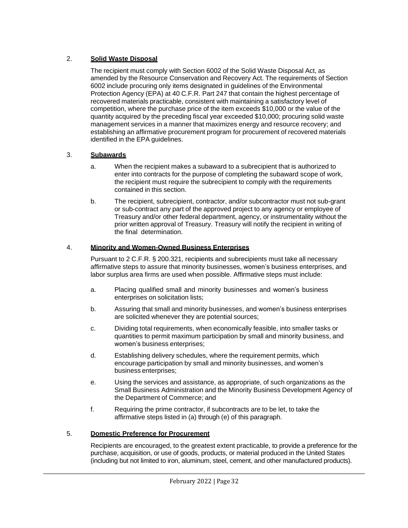## <span id="page-33-0"></span>2. **Solid Waste Disposal**

The recipient must comply with Section 6002 of the Solid Waste Disposal Act, as amended by the Resource Conservation and Recovery Act. The requirements of Section 6002 include procuring only items designated in guidelines of the Environmental Protection Agency (EPA) at 40 C.F.R. Part 247 that contain the highest percentage of recovered materials practicable, consistent with maintaining a satisfactory level of competition, where the purchase price of the item exceeds \$10,000 or the value of the quantity acquired by the preceding fiscal year exceeded \$10,000; procuring solid waste management services in a manner that maximizes energy and resource recovery; and establishing an affirmative procurement program for procurement of recovered materials identified in the EPA guidelines.

## <span id="page-33-1"></span>3. **Subawards**

- a. When the recipient makes a subaward to a subrecipient that is authorized to enter into contracts for the purpose of completing the subaward scope of work, the recipient must require the subrecipient to comply with the requirements contained in this section.
- b. The recipient, subrecipient, contractor, and/or subcontractor must not sub-grant or sub-contract any part of the approved project to any agency or employee of Treasury and/or other federal department, agency, or instrumentality without the prior written approval of Treasury. Treasury will notify the recipient in writing of the final determination.

## <span id="page-33-2"></span>4. **Minority and Women-Owned Business Enterprises**

Pursuant to 2 C.F.R. § 200.321, recipients and subrecipients must take all necessary affirmative steps to assure that minority businesses, women's business enterprises, and labor surplus area firms are used when possible. Affirmative steps must include:

- a. Placing qualified small and minority businesses and women's business enterprises on solicitation lists;
- b. Assuring that small and minority businesses, and women's business enterprises are solicited whenever they are potential sources;
- c. Dividing total requirements, when economically feasible, into smaller tasks or quantities to permit maximum participation by small and minority business, and women's business enterprises;
- d. Establishing delivery schedules, where the requirement permits, which encourage participation by small and minority businesses, and women's business enterprises;
- e. Using the services and assistance, as appropriate, of such organizations as the Small Business Administration and the Minority Business Development Agency of the Department of Commerce; and
- f. Requiring the prime contractor, if subcontracts are to be let, to take the affirmative steps listed in (a) through (e) of this paragraph.

## <span id="page-33-3"></span>5. **Domestic Preference for Procurement**

Recipients are encouraged, to the greatest extent practicable, to provide a preference for the purchase, acquisition, or use of goods, products, or material produced in the United States (including but not limited to iron, aluminum, steel, cement, and other manufactured products).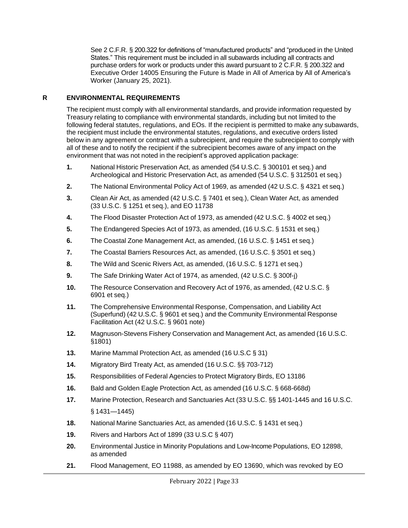See 2 C.F.R. § 200.322 for definitions of "manufactured products" and "produced in the United States." This requirement must be included in all subawards including all contracts and purchase orders for work or products under this award pursuant to 2 C.F.R. § 200.322 and Executive Order 14005 Ensuring the Future is Made in All of America by All of America's Worker (January 25, 2021).

## <span id="page-34-0"></span>**R ENVIRONMENTAL REQUIREMENTS**

The recipient must comply with all environmental standards, and provide information requested by Treasury relating to compliance with environmental standards, including but not limited to the following federal statutes, regulations, and EOs. If the recipient is permitted to make any subawards, the recipient must include the environmental statutes, regulations, and executive orders listed below in any agreement or contract with a subrecipient, and require the subrecipient to comply with all of these and to notify the recipient if the subrecipient becomes aware of any impact on the environment that was not noted in the recipient's approved application package:

- **1.** National Historic Preservation Act, as amended (54 U.S.C. § 300101 et seq.) and Archeological and Historic Preservation Act, as amended (54 U.S.C. § 312501 et seq.)
- **2.** The National Environmental Policy Act of 1969, as amended (42 U.S.C. § 4321 et seq.)
- **3.** Clean Air Act, as amended (42 U.S.C. § 7401 et seq.), Clean Water Act, as amended (33 U.S.C. § 1251 et seq.), and EO 11738
- **4.** The Flood Disaster Protection Act of 1973, as amended (42 U.S.C. § 4002 et seq.)
- **5.** The Endangered Species Act of 1973, as amended, (16 U.S.C. § 1531 et seq.)
- **6.** The Coastal Zone Management Act, as amended, (16 U.S.C. § 1451 et seq.)
- **7.** The Coastal Barriers Resources Act, as amended, (16 U.S.C. § 3501 et seq.)
- **8.** The Wild and Scenic Rivers Act, as amended, (16 U.S.C. § 1271 et seq.)
- **9.** The Safe Drinking Water Act of 1974, as amended, (42 U.S.C. § 300f-j)
- **10.** The Resource Conservation and Recovery Act of 1976, as amended, (42 U.S.C. § 6901 et seq.)
- **11.** The Comprehensive Environmental Response, Compensation, and Liability Act (Superfund) (42 U.S.C. § 9601 et seq.) and the Community Environmental Response Facilitation Act (42 U.S.C. § 9601 note)
- **12.** Magnuson-Stevens Fishery Conservation and Management Act, as amended (16 U.S.C. §1801)
- **13.** Marine Mammal Protection Act, as amended (16 U.S.C § 31)
- **14.** Migratory Bird Treaty Act, as amended (16 U.S.C. §§ 703-712)
- **15.** Responsibilities of Federal Agencies to Protect Migratory Birds, EO 13186
- **16.** Bald and Golden Eagle Protection Act, as amended (16 U.S.C. § 668-668d)
- **17.** Marine Protection, Research and Sanctuaries Act (33 U.S.C. §§ 1401-1445 and 16 U.S.C. § 1431—1445)
- **18.** National Marine Sanctuaries Act, as amended (16 U.S.C. § 1431 et seq.)
- **19.** Rivers and Harbors Act of 1899 (33 U.S.C § 407)
- **20.** Environmental Justice in Minority Populations and Low-Income Populations, EO 12898, as amended
- **21.** Flood Management, EO 11988, as amended by EO 13690, which was revoked by EO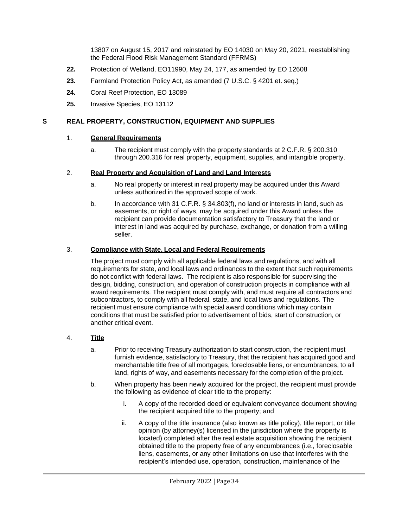13807 on August 15, 2017 and reinstated by EO 14030 on May 20, 2021, reestablishing the Federal Flood Risk Management Standard (FFRMS)

- **22.** Protection of Wetland, EO11990, May 24, 177, as amended by EO 12608
- **23.** Farmland Protection Policy Act, as amended (7 U.S.C. § 4201 et. seq.)
- **24.** Coral Reef Protection, EO 13089
- **25.** Invasive Species, EO 13112

#### <span id="page-35-1"></span><span id="page-35-0"></span>**S REAL PROPERTY, CONSTRUCTION, EQUIPMENT AND SUPPLIES**

#### 1. **General Requirements**

a. The recipient must comply with the property standards at 2 C.F.R. § 200.310 through 200.316 for real property, equipment, supplies, and intangible property.

#### <span id="page-35-2"></span>2. **Real Property and Acquisition of Land and Land Interests**

- a. No real property or interest in real property may be acquired under this Award unless authorized in the approved scope of work.
- b. In accordance with 31 C.F.R. § 34.803(f), no land or interests in land, such as easements, or right of ways, may be acquired under this Award unless the recipient can provide documentation satisfactory to Treasury that the land or interest in land was acquired by purchase, exchange, or donation from a willing seller.

#### <span id="page-35-3"></span>3. **Compliance with State, Local and Federal Requirements**

The project must comply with all applicable federal laws and regulations, and with all requirements for state, and local laws and ordinances to the extent that such requirements do not conflict with federal laws. The recipient is also responsible for supervising the design, bidding, construction, and operation of construction projects in compliance with all award requirements. The recipient must comply with, and must require all contractors and subcontractors, to comply with all federal, state, and local laws and regulations. The recipient must ensure compliance with special award conditions which may contain conditions that must be satisfied prior to advertisement of bids, start of construction, or another critical event.

#### <span id="page-35-4"></span>4. **Title**

- a. Prior to receiving Treasury authorization to start construction, the recipient must furnish evidence, satisfactory to Treasury, that the recipient has acquired good and merchantable title free of all mortgages, foreclosable liens, or encumbrances, to all land, rights of way, and easements necessary for the completion of the project.
- b. When property has been newly acquired for the project, the recipient must provide the following as evidence of clear title to the property:
	- i. A copy of the recorded deed or equivalent conveyance document showing the recipient acquired title to the property; and
	- ii. A copy of the title insurance (also known as title policy), title report, or title opinion (by attorney(s) licensed in the jurisdiction where the property is located) completed after the real estate acquisition showing the recipient obtained title to the property free of any encumbrances (i.e., foreclosable liens, easements, or any other limitations on use that interferes with the recipient's intended use, operation, construction, maintenance of the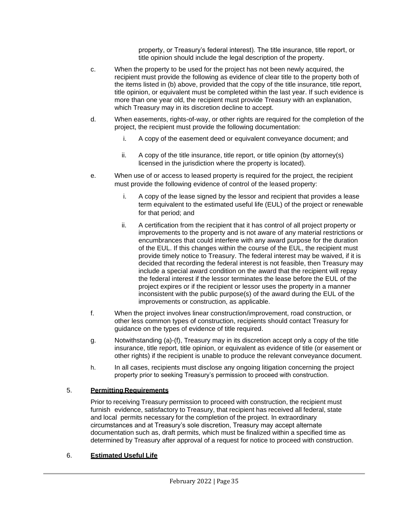property, or Treasury's federal interest). The title insurance, title report, or title opinion should include the legal description of the property.

- c. When the property to be used for the project has not been newly acquired, the recipient must provide the following as evidence of clear title to the property both of the items listed in (b) above, provided that the copy of the title insurance, title report, title opinion, or equivalent must be completed within the last year. If such evidence is more than one year old, the recipient must provide Treasury with an explanation, which Treasury may in its discretion decline to accept.
- d. When easements, rights-of-way, or other rights are required for the completion of the project, the recipient must provide the following documentation:
	- i. A copy of the easement deed or equivalent conveyance document; and
	- ii. A copy of the title insurance, title report, or title opinion (by attorney(s) licensed in the jurisdiction where the property is located).
- e. When use of or access to leased property is required for the project, the recipient must provide the following evidence of control of the leased property:
	- i. A copy of the lease signed by the lessor and recipient that provides a lease term equivalent to the estimated useful life (EUL) of the project or renewable for that period; and
	- ii. A certification from the recipient that it has control of all project property or improvements to the property and is not aware of any material restrictions or encumbrances that could interfere with any award purpose for the duration of the EUL. If this changes within the course of the EUL, the recipient must provide timely notice to Treasury. The federal interest may be waived, if it is decided that recording the federal interest is not feasible, then Treasury may include a special award condition on the award that the recipient will repay the federal interest if the lessor terminates the lease before the EUL of the project expires or if the recipient or lessor uses the property in a manner inconsistent with the public purpose(s) of the award during the EUL of the improvements or construction, as applicable.
- f. When the project involves linear construction/improvement, road construction, or other less common types of construction, recipients should contact Treasury for guidance on the types of evidence of title required.
- g. Notwithstanding (a)-(f), Treasury may in its discretion accept only a copy of the title insurance, title report, title opinion, or equivalent as evidence of title (or easement or other rights) if the recipient is unable to produce the relevant conveyance document.
- h. In all cases, recipients must disclose any ongoing litigation concerning the project property prior to seeking Treasury's permission to proceed with construction.

## <span id="page-36-0"></span>5. **Permitting Requirements**

Prior to receiving Treasury permission to proceed with construction, the recipient must furnish evidence, satisfactory to Treasury, that recipient has received all federal, state and local permits necessary for the completion of the project. In extraordinary circumstances and at Treasury's sole discretion, Treasury may accept alternate documentation such as, draft permits, which must be finalized within a specified time as determined by Treasury after approval of a request for notice to proceed with construction.

## <span id="page-36-1"></span>6. **Estimated Useful Life**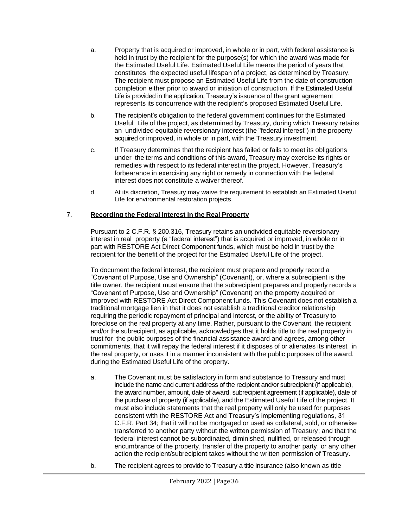- a. Property that is acquired or improved, in whole or in part, with federal assistance is held in trust by the recipient for the purpose(s) for which the award was made for the Estimated Useful Life. Estimated Useful Life means the period of years that constitutes the expected useful lifespan of a project, as determined by Treasury. The recipient must propose an Estimated Useful Life from the date of construction completion either prior to award or initiation of construction. If the Estimated Useful Life is provided in the application, Treasury's issuance of the grant agreement represents its concurrence with the recipient's proposed Estimated Useful Life.
- b. The recipient's obligation to the federal government continues for the Estimated Useful Life of the project, as determined by Treasury, during which Treasury retains an undivided equitable reversionary interest (the "federal interest") in the property acquired or improved, in whole or in part, with the Treasury investment.
- c. If Treasury determines that the recipient has failed or fails to meet its obligations under the terms and conditions of this award, Treasury may exercise its rights or remedies with respect to its federal interest in the project. However, Treasury's forbearance in exercising any right or remedy in connection with the federal interest does not constitute a waiver thereof.
- d. At its discretion, Treasury may waive the requirement to establish an Estimated Useful Life for environmental restoration projects.

## <span id="page-37-0"></span>7. **Recording the Federal Interest in the Real Property**

Pursuant to 2 C.F.R. § 200.316, Treasury retains an undivided equitable reversionary interest in real property (a "federal interest") that is acquired or improved, in whole or in part with RESTORE Act Direct Component funds, which must be held in trust by the recipient for the benefit of the project for the Estimated Useful Life of the project.

To document the federal interest, the recipient must prepare and properly record a "Covenant of Purpose, Use and Ownership" (Covenant), or, where a subrecipient is the title owner, the recipient must ensure that the subrecipient prepares and properly records a "Covenant of Purpose, Use and Ownership" (Covenant) on the property acquired or improved with RESTORE Act Direct Component funds. This Covenant does not establish a traditional mortgage lien in that it does not establish a traditional creditor relationship requiring the periodic repayment of principal and interest, or the ability of Treasury to foreclose on the real property at any time. Rather, pursuant to the Covenant, the recipient and/or the subrecipient, as applicable, acknowledges that it holds title to the real property in trust for the public purposes of the financial assistance award and agrees, among other commitments, that it will repay the federal interest if it disposes of or alienates its interest in the real property, or uses it in a manner inconsistent with the public purposes of the award, during the Estimated Useful Life of the property.

- a. The Covenant must be satisfactory in form and substance to Treasury and must include the name and current address of the recipient and/or subrecipient (if applicable), the award number, amount, date of award, subrecipient agreement (if applicable), date of the purchase of property (if applicable), and the Estimated Useful Life of the project. It must also include statements that the real property will only be used for purposes consistent with the RESTORE Act and Treasury's implementing regulations, 31 C.F.R. Part 34; that it will not be mortgaged or used as collateral, sold, or otherwise transferred to another party without the written permission of Treasury; and that the federal interest cannot be subordinated, diminished, nullified, or released through encumbrance of the property, transfer of the property to another party, or any other action the recipient/subrecipient takes without the written permission of Treasury.
- b. The recipient agrees to provide to Treasury a title insurance (also known as title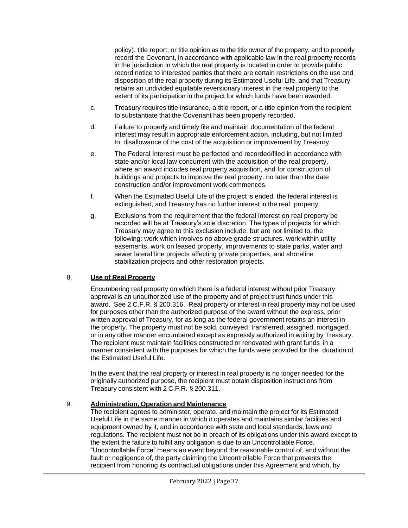policy), title report, or title opinion as to the title owner of the property, and to properly record the Covenant, in accordance with applicable law in the real property records in the jurisdiction in which the real property is located in order to provide public record notice to interested parties that there are certain restrictions on the use and disposition of the real property during its Estimated Useful Life, and that Treasury retains an undivided equitable reversionary interest in the real property to the extent of its participation in the project for which funds have been awarded.

- c. Treasury requires title insurance, a title report, or a title opinion from the recipient to substantiate that the Covenant has been properly recorded.
- d. Failure to properly and timely file and maintain documentation of the federal interest may result in appropriate enforcement action, including, but not limited to, disallowance of the cost of the acquisition or improvement by Treasury.
- e. The Federal Interest must be perfected and recorded/filed in accordance with state and/or local law concurrent with the acquisition of the real property, where an award includes real property acquisition, and for construction of buildings and projects to improve the real property, no later than the date construction and/or improvement work commences.
- f. When the Estimated Useful Life of the project is ended, the federal interest is extinguished, and Treasury has no further interest in the real property.
- g. Exclusions from the requirement that the federal interest on real property be recorded will be at Treasury's sole discretion. The types of projects for which Treasury may agree to this exclusion include, but are not limited to, the following: work which involves no above grade structures, work within utility easements, work on leased property, improvements to state parks, water and sewer lateral line projects affecting private properties, and shoreline stabilization projects and other restoration projects.

## <span id="page-38-0"></span>8. **Use of Real Property**

Encumbering real property on which there is a federal interest without prior Treasury approval is an unauthorized use of the property and of project trust funds under this award. See 2 C.F.R. § 200.316. Real property or interest in real property may not be used for purposes other than the authorized purpose of the award without the express, prior written approval of Treasury, for as long as the federal government retains an interest in the property. The property must not be sold, conveyed, transferred, assigned, mortgaged, or in any other manner encumbered except as expressly authorized in writing by Treasury. The recipient must maintain facilities constructed or renovated with grant funds in a manner consistent with the purposes for which the funds were provided for the duration of the Estimated Useful Life.

In the event that the real property or interest in real property is no longer needed for the originally authorized purpose, the recipient must obtain disposition instructions from Treasury consistent with 2 C.F.R. § 200.311.

#### <span id="page-38-1"></span>9. **Administration, Operation and Maintenance**

The recipient agrees to administer, operate, and maintain the project for its Estimated Useful Life in the same manner in which it operates and maintains similar facilities and equipment owned by it, and in accordance with state and local standards, laws and regulations. The recipient must not be in breach of its obligations under this award except to the extent the failure to fulfill any obligation is due to an Uncontrollable Force. "Uncontrollable Force" means an event beyond the reasonable control of, and without the fault or negligence of, the party claiming the Uncontrollable Force that prevents the recipient from honoring its contractual obligations under this Agreement and which, by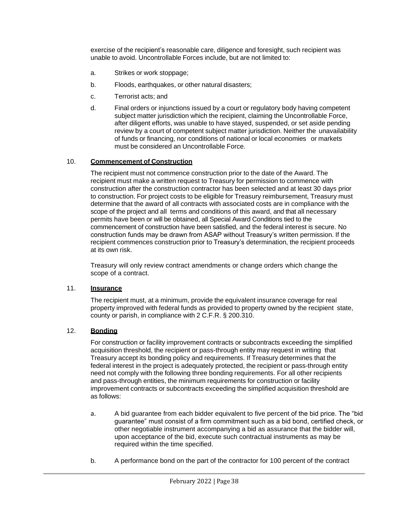exercise of the recipient's reasonable care, diligence and foresight, such recipient was unable to avoid. Uncontrollable Forces include, but are not limited to:

- a. Strikes or work stoppage;
- b. Floods, earthquakes, or other natural disasters;
- c. Terrorist acts; and
- d. Final orders or injunctions issued by a court or regulatory body having competent subject matter jurisdiction which the recipient, claiming the Uncontrollable Force, after diligent efforts, was unable to have stayed, suspended, or set aside pending review by a court of competent subject matter jurisdiction. Neither the unavailability of funds or financing, nor conditions of national or local economies or markets must be considered an Uncontrollable Force.

#### <span id="page-39-0"></span>10. **Commencement of Construction**

The recipient must not commence construction prior to the date of the Award. The recipient must make a written request to Treasury for permission to commence with construction after the construction contractor has been selected and at least 30 days prior to construction. For project costs to be eligible for Treasury reimbursement, Treasury must determine that the award of all contracts with associated costs are in compliance with the scope of the project and all terms and conditions of this award, and that all necessary permits have been or will be obtained, all Special Award Conditions tied to the commencement of construction have been satisfied, and the federal interest is secure. No construction funds may be drawn from ASAP without Treasury's written permission. If the recipient commences construction prior to Treasury's determination, the recipient proceeds at its own risk.

Treasury will only review contract amendments or change orders which change the scope of a contract.

#### <span id="page-39-1"></span>11. **Insurance**

The recipient must, at a minimum, provide the equivalent insurance coverage for real property improved with federal funds as provided to property owned by the recipient state, county or parish, in compliance with 2 C.F.R. § 200.310.

#### <span id="page-39-2"></span>12. **Bonding**

For construction or facility improvement contracts or subcontracts exceeding the simplified acquisition threshold, the recipient or pass-through entity may request in writing that Treasury accept its bonding policy and requirements. If Treasury determines that the federal interest in the project is adequately protected, the recipient or pass-through entity need not comply with the following three bonding requirements. For all other recipients and pass-through entities, the minimum requirements for construction or facility improvement contracts or subcontracts exceeding the simplified acquisition threshold are as follows:

- a. A bid guarantee from each bidder equivalent to five percent of the bid price. The "bid guarantee" must consist of a firm commitment such as a bid bond, certified check, or other negotiable instrument accompanying a bid as assurance that the bidder will, upon acceptance of the bid, execute such contractual instruments as may be required within the time specified.
- b. A performance bond on the part of the contractor for 100 percent of the contract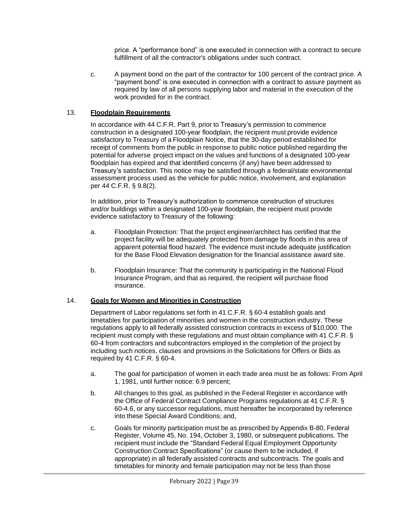price. A "performance bond" is one executed in connection with a contract to secure fulfillment of all the contractor's obligations under such contract.

c. A payment bond on the part of the contractor for 100 percent of the contract price. A "payment bond" is one executed in connection with a contract to assure payment as required by law of all persons supplying labor and material in the execution of the work provided for in the contract.

#### <span id="page-40-0"></span>13. **Floodplain Requirements**

In accordance with 44 C.F.R. Part 9, prior to Treasury's permission to commence construction in a designated 100-year floodplain, the recipient must provide evidence satisfactory to Treasury of a Floodplain Notice, that the 30-day period established for receipt of comments from the public in response to public notice published regarding the potential for adverse project impact on the values and functions of a designated 100-year floodplain has expired and that identified concerns (if any) have been addressed to Treasury's satisfaction. This notice may be satisfied through a federal/state environmental assessment process used as the vehicle for public notice, involvement, and explanation per 44 C.F.R. § 9.8(2).

In addition, prior to Treasury's authorization to commence construction of structures and/or buildings within a designated 100-year floodplain, the recipient must provide evidence satisfactory to Treasury of the following:

- a. Floodplain Protection: That the project engineer/architect has certified that the project facility will be adequately protected from damage by floods in this area of apparent potential flood hazard. The evidence must include adequate justification for the Base Flood Elevation designation for the financial assistance award site.
- b. Floodplain Insurance: That the community is participating in the National Flood Insurance Program, and that as required, the recipient will purchase flood insurance.

#### <span id="page-40-1"></span>14. **Goals for Women and Minorities in Construction**

Department of Labor regulations set forth in 41 C.F.R. § 60-4 establish goals and timetables for participation of minorities and women in the construction industry. These regulations apply to all federally assisted construction contracts in excess of \$10,000. The recipient must comply with these regulations and must obtain compliance with 41 C.F.R. § 60-4 from contractors and subcontractors employed in the completion of the project by including such notices, clauses and provisions in the Solicitations for Offers or Bids as required by 41 C.F.R. § 60-4.

- a. The goal for participation of women in each trade area must be as follows: From April 1, 1981, until further notice: 6.9 percent;
- b. All changes to this goal, as published in the Federal Register in accordance with the Office of Federal Contract Compliance Programs regulations at 41 C.F.R. § 60-4.6, or any successor regulations, must hereafter be incorporated by reference into these Special Award Conditions; and,
- c. Goals for minority participation must be as prescribed by Appendix B-80, Federal Register, Volume 45, No. 194, October 3, 1980, or subsequent publications. The recipient must include the "Standard Federal Equal Employment Opportunity Construction Contract Specifications" (or cause them to be included, if appropriate) in all federally assisted contracts and subcontracts. The goals and timetables for minority and female participation may not be less than those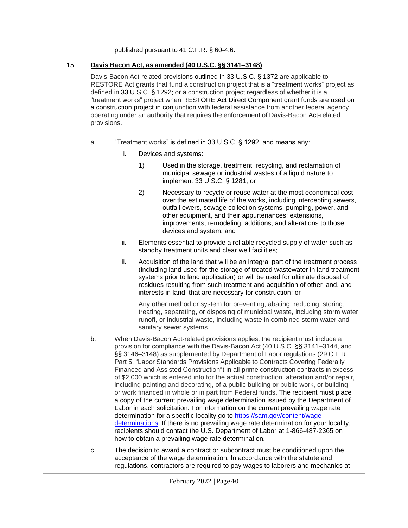published pursuant to 41 C.F.R. § 60-4.6.

#### <span id="page-41-0"></span>15. **Davis Bacon Act, as amended (40 U.S.C. §§ 3141–3148)**

Davis-Bacon Act-related provisions outlined in 33 U.S.C. § 1372 are applicable to RESTORE Act grants that fund a construction project that is a "treatment works" project as defined in 33 U.S.C. § 1292; or a construction project regardless of whether it is a "treatment works" project when RESTORE Act Direct Component grant funds are used on a construction project in conjunction with federal assistance from another federal agency operating under an authority that requires the enforcement of Davis-Bacon Act-related provisions.

- a. "Treatment works" is defined in 33 U.S.C. § 1292, and means any:
	- i. Devices and systems:
		- 1) Used in the storage, treatment, recycling, and reclamation of municipal sewage or industrial wastes of a liquid nature to implement 33 U.S.C. § 1281; or
		- 2) Necessary to recycle or reuse water at the most economical cost over the estimated life of the works, including intercepting sewers, outfall ewers, sewage collection systems, pumping, power, and other equipment, and their appurtenances; extensions, improvements, remodeling, additions, and alterations to those devices and system; and
	- ii. Elements essential to provide a reliable recycled supply of water such as standby treatment units and clear well facilities;
	- iii. Acquisition of the land that will be an integral part of the treatment process (including land used for the storage of treated wastewater in land treatment systems prior to land application) or will be used for ultimate disposal of residues resulting from such treatment and acquisition of other land, and interests in land, that are necessary for construction; or

Any other method or system for preventing, abating, reducing, storing, treating, separating, or disposing of municipal waste, including storm water runoff, or industrial waste, including waste in combined storm water and sanitary sewer systems.

- b. When Davis-Bacon Act-related provisions applies, the recipient must include a provision for compliance with the Davis-Bacon Act (40 U.S.C. §§ 3141–3144, and §§ 3146–3148) as supplemented by Department of Labor regulations (29 C.F.R. Part 5, "Labor Standards Provisions Applicable to Contracts Covering Federally Financed and Assisted Construction") in all prime construction contracts in excess of \$2,000 which is entered into for the actual construction, alteration and/or repair, including painting and decorating, of a public building or public work, or building or work financed in whole or in part from Federal funds. The recipient must place a copy of the current prevailing wage determination issued by the Department of Labor in each solicitation. For information on the current prevailing wage rate determination for a specific locality go to [https://sam.gov/content/wage](https://sam.gov/content/wage-determinations)[determinations.](https://sam.gov/content/wage-determinations) If there is no prevailing wage rate determination for your locality, recipients should contact the U.S. Department of Labor at 1-866-487-2365 on how to obtain a prevailing wage rate determination*.*
- c. The decision to award a contract or subcontract must be conditioned upon the acceptance of the wage determination. In accordance with the statute and regulations, contractors are required to pay wages to laborers and mechanics at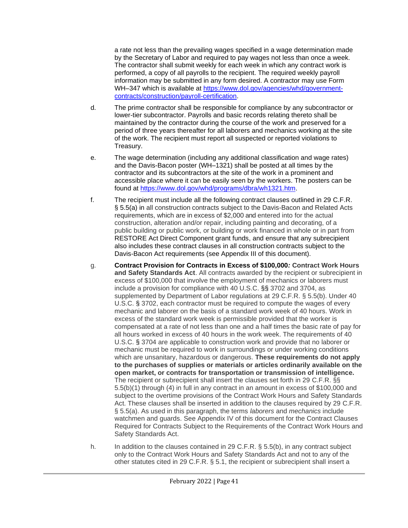a rate not less than the prevailing wages specified in a wage determination made by the Secretary of Labor and required to pay wages not less than once a week. The contractor shall submit weekly for each week in which any contract work is performed, a copy of all payrolls to the recipient. The required weekly payroll information may be submitted in any form desired. A contractor may use Form WH–347 which is available at [https://www.dol.gov/agencies/whd/government](https://www.dol.gov/agencies/whd/government-contracts/construction/payroll-certification)[contracts/construction/payroll-certification.](https://www.dol.gov/agencies/whd/government-contracts/construction/payroll-certification)

- d. The prime contractor shall be responsible for compliance by any subcontractor or lower-tier subcontractor. Payrolls and basic records relating thereto shall be maintained by the contractor during the course of the work and preserved for a period of three years thereafter for all laborers and mechanics working at the site of the work. The recipient must report all suspected or reported violations to Treasury.
- e. The wage determination (including any additional classification and wage rates) and the Davis-Bacon poster (WH–1321) shall be posted at all times by the contractor and its subcontractors at the site of the work in a prominent and accessible place where it can be easily seen by the workers. The posters can be found at [https://www.dol.gov/whd/programs/dbra/wh1321.htm.](https://www.dol.gov/whd/programs/dbra/wh1321.htm)
- f. The recipient must include all the following contract clauses outlined in 29 C.F.R. § 5.5(a) in all construction contracts subject to the Davis-Bacon and Related Acts requirements, which are in excess of \$2,000 and entered into for the actual construction, alteration and/or repair, including painting and decorating, of a public building or public work, or building or work financed in whole or in part from RESTORE Act Direct Component grant funds, and ensure that any subrecipient also includes these contract clauses in all construction contracts subject to the Davis-Bacon Act requirements (see Appendix III of this document).
- g. **Contract Provision for Contracts in Excess of \$100,000***:* **Contract Work Hours and Safety Standards Act**. All contracts awarded by the recipient or subrecipient in excess of \$100,000 that involve the employment of mechanics or laborers must include a provision for compliance with 40 U.S.C. §§ 3702 and 3704, as supplemented by Department of Labor regulations at 29 C.F.R. § 5.5(b). Under 40 U.S.C. § 3702, each contractor must be required to compute the wages of every mechanic and laborer on the basis of a standard work week of 40 hours. Work in excess of the standard work week is permissible provided that the worker is compensated at a rate of not less than one and a half times the basic rate of pay for all hours worked in excess of 40 hours in the work week. The requirements of 40 U.S.C. § 3704 are applicable to construction work and provide that no laborer or mechanic must be required to work in surroundings or under working conditions which are unsanitary, hazardous or dangerous. **These requirements do not apply to the purchases of supplies or materials or articles ordinarily available on the open market, or contracts for transportation or transmission of intelligence.** The recipient or subrecipient shall insert the clauses set forth in 29 C.F.R. §§ 5.5(b)(1) through (4) in full in any contract in an amount in excess of \$100,000 and subject to the overtime provisions of the Contract Work Hours and Safety Standards Act. These clauses shall be inserted in addition to the clauses required by 29 C.F.R. § 5.5(a). As used in this paragraph, the terms *laborers* and *mechanics* include watchmen and guards. See Appendix IV of this document for the Contract Clauses Required for Contracts Subject to the Requirements of the Contract Work Hours and Safety Standards Act.
- h. In addition to the clauses contained in 29 C.F.R. § 5.5(b), in any contract subject only to the Contract Work Hours and Safety Standards Act and not to any of the other statutes cited in 29 C.F.R. § 5.1, the recipient or subrecipient shall insert a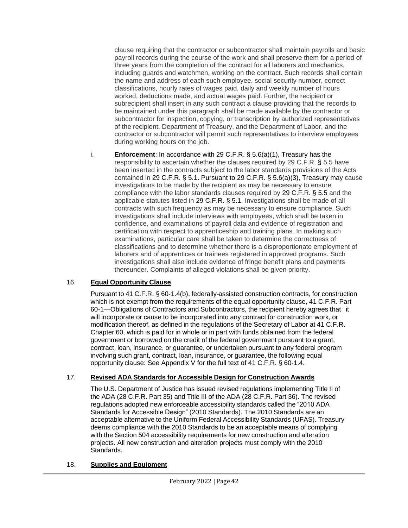clause requiring that the contractor or subcontractor shall maintain payrolls and basic payroll records during the course of the work and shall preserve them for a period of three years from the completion of the contract for all laborers and mechanics, including guards and watchmen, working on the contract. Such records shall contain the name and address of each such employee, social security number, correct classifications, hourly rates of wages paid, daily and weekly number of hours worked, deductions made, and actual wages paid. Further, the recipient or subrecipient shall insert in any such contract a clause providing that the records to be maintained under this paragraph shall be made available by the contractor or subcontractor for inspection, copying, or transcription by authorized representatives of the recipient, Department of Treasury, and the Department of Labor, and the contractor or subcontractor will permit such representatives to interview employees during working hours on the job.

i. **Enforcement**: In accordance with 29 C.F.R. § 5.6(a)(1), Treasury has the responsibility to ascertain whether the clauses required by 29 C.F.R. § 5.5 have been inserted in the contracts subject to the labor standards provisions of the Acts contained in 29 C.F.R.  $\S 5.1$ . Pursuant to 29 C.F.R.  $\S 5.6(a)(3)$ , Treasury may cause investigations to be made by the recipient as may be necessary to ensure compliance with the labor standards clauses required by 29 C.F.R. § 5.5 and the applicable statutes listed in 29 C.F.R. § 5.1. Investigations shall be made of all contracts with such frequency as may be necessary to ensure compliance. Such investigations shall include interviews with employees, which shall be taken in confidence, and examinations of payroll data and evidence of registration and certification with respect to apprenticeship and training plans. In making such examinations, particular care shall be taken to determine the correctness of classifications and to determine whether there is a disproportionate employment of laborers and of apprentices or trainees registered in approved programs. Such investigations shall also include evidence of fringe benefit plans and payments thereunder. Complaints of alleged violations shall be given priority.

## <span id="page-43-0"></span>16. **Equal Opportunity Clause**

Pursuant to 41 C.F.R. § 60-1.4(b), federally-assisted construction contracts, for construction which is not exempt from the requirements of the equal opportunity clause, 41 C.F.R. Part 60-1—Obligations of Contractors and Subcontractors, the recipient hereby agrees that it will incorporate or cause to be incorporated into any contract for construction work, or modification thereof, as defined in the regulations of the Secretary of Labor at 41 C.F.R. Chapter 60, which is paid for in whole or in part with funds obtained from the federal government or borrowed on the credit of the federal government pursuant to a grant, contract, loan, insurance, or guarantee, or undertaken pursuant to any federal program involving such grant, contract, loan, insurance, or guarantee, the following equal opportunity clause: See Appendix V for the full text of 41 C.F.R. § 60-1.4.

## <span id="page-43-1"></span>17. **Revised ADA Standards for Accessible Design for Construction Awards**

The U.S. Department of Justice has issued revised regulations implementing Title II of the ADA (28 C.F.R. Part 35) and Title III of the ADA (28 C.F.R. Part 36). The revised regulations adopted new enforceable accessibility standards called the "2010 ADA Standards for Accessible Design" (2010 Standards). The 2010 Standards are an acceptable alternative to the Uniform Federal Accessibility Standards (UFAS). Treasury deems compliance with the 2010 Standards to be an acceptable means of complying with the Section 504 accessibility requirements for new construction and alteration projects. All new construction and alteration projects must comply with the 2010 Standards.

#### <span id="page-43-2"></span>18. **Supplies and Equipment**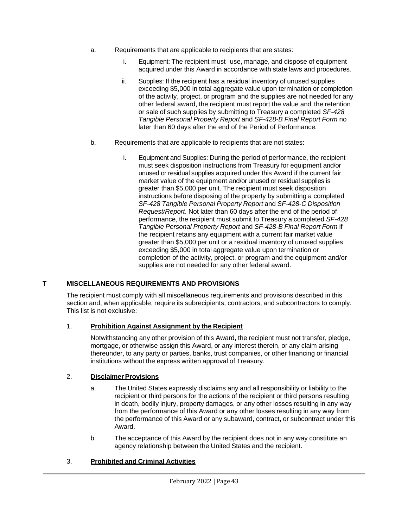- a. Requirements that are applicable to recipients that are states:
	- i. Equipment: The recipient must use, manage, and dispose of equipment acquired under this Award in accordance with state laws and procedures.
	- ii. Supplies: If the recipient has a residual inventory of unused supplies exceeding \$5,000 in total aggregate value upon termination or completion of the activity, project, or program and the supplies are not needed for any other federal award, the recipient must report the value and the retention or sale of such supplies by submitting to Treasury a completed *SF-428 Tangible Personal Property Report* and *SF-428-B Final Report Form* no later than 60 days after the end of the Period of Performance*.*
- b. Requirements that are applicable to recipients that are not states:
	- i. Equipment and Supplies: During the period of performance, the recipient must seek disposition instructions from Treasury for equipment and/or unused or residual supplies acquired under this Award if the current fair market value of the equipment and/or unused or residual supplies is greater than \$5,000 per unit. The recipient must seek disposition instructions before disposing of the property by submitting a completed *SF-428 Tangible Personal Property Report* and *SF-428-C Disposition Request/Report*. Not later than 60 days after the end of the period of performance, the recipient must submit to Treasury a completed *SF-428 Tangible Personal Property Report* and *SF-428-B Final Report Form* if the recipient retains any equipment with a current fair market value greater than \$5,000 per unit or a residual inventory of unused supplies exceeding \$5,000 in total aggregate value upon termination or completion of the activity, project, or program and the equipment and/or supplies are not needed for any other federal award.

## <span id="page-44-0"></span>**T MISCELLANEOUS REQUIREMENTS AND PROVISIONS**

The recipient must comply with all miscellaneous requirements and provisions described in this section and, when applicable, require its subrecipients, contractors, and subcontractors to comply. This list is not exclusive:

## <span id="page-44-1"></span>1. **Prohibition Against Assignment by the Recipient**

Notwithstanding any other provision of this Award, the recipient must not transfer, pledge, mortgage, or otherwise assign this Award, or any interest therein, or any claim arising thereunder, to any party or parties, banks, trust companies, or other financing or financial institutions without the express written approval of Treasury.

## <span id="page-44-2"></span>2. **Disclaimer Provisions**

- a. The United States expressly disclaims any and all responsibility or liability to the recipient or third persons for the actions of the recipient or third persons resulting in death, bodily injury, property damages, or any other losses resulting in any way from the performance of this Award or any other losses resulting in any way from the performance of this Award or any subaward, contract, or subcontract under this Award.
- b. The acceptance of this Award by the recipient does not in any way constitute an agency relationship between the United States and the recipient.

## <span id="page-44-3"></span>3. **Prohibited and Criminal Activities**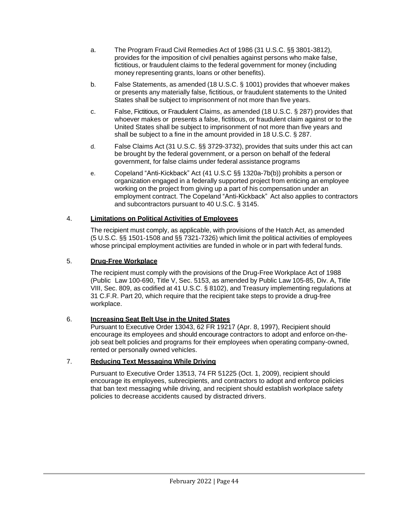- a. The Program Fraud Civil Remedies Act of 1986 (31 U.S.C. §§ 3801-3812), provides for the imposition of civil penalties against persons who make false, fictitious, or fraudulent claims to the federal government for money (including money representing grants, loans or other benefits).
- b. False Statements, as amended (18 U.S.C. § 1001) provides that whoever makes or presents any materially false, fictitious, or fraudulent statements to the United States shall be subject to imprisonment of not more than five years.
- c. False, Fictitious, or Fraudulent Claims, as amended (18 U.S.C. § 287) provides that whoever makes or presents a false, fictitious, or fraudulent claim against or to the United States shall be subject to imprisonment of not more than five years and shall be subject to a fine in the amount provided in 18 U.S.C. § 287.
- d. False Claims Act (31 U.S.C. §§ 3729-3732), provides that suits under this act can be brought by the federal government, or a person on behalf of the federal government, for false claims under federal assistance programs
- e. Copeland "Anti-Kickback" Act (41 U.S.C §§ 1320a-7b(b)) prohibits a person or organization engaged in a federally supported project from enticing an employee working on the project from giving up a part of his compensation under an employment contract. The Copeland "Anti-Kickback" Act also applies to contractors and subcontractors pursuant to 40 U.S.C. § 3145.

## <span id="page-45-0"></span>4. **Limitations on Political Activities of Employees**

The recipient must comply, as applicable, with provisions of the Hatch Act, as amended (5 U.S.C. §§ 1501-1508 and §§ 7321-7326) which limit the political activities of employees whose principal employment activities are funded in whole or in part with federal funds.

## <span id="page-45-1"></span>5. **Drug-Free Workplace**

The recipient must comply with the provisions of the Drug-Free Workplace Act of 1988 (Public Law 100-690, Title V, Sec. 5153, as amended by Public Law 105-85, Div. A, Title VIII, Sec. 809, as codified at 41 U.S.C. § 8102), and Treasury implementing regulations at 31 C.F.R. Part 20, which require that the recipient take steps to provide a drug-free workplace.

## <span id="page-45-2"></span>6. **Increasing Seat Belt Use in the United States**

Pursuant to Executive Order 13043, 62 FR 19217 (Apr. 8, 1997), Recipient should encourage its employees and should encourage contractors to adopt and enforce on-thejob seat belt policies and programs for their employees when operating company-owned, rented or personally owned vehicles.

## <span id="page-45-4"></span><span id="page-45-3"></span>7. **Reducing Text Messaging While Driving**

Pursuant to Executive Order 13513, 74 FR 51225 (Oct. 1, 2009), recipient should encourage its employees, subrecipients, and contractors to adopt and enforce policies that ban text messaging while driving, and recipient should establish workplace safety policies to decrease accidents caused by distracted drivers.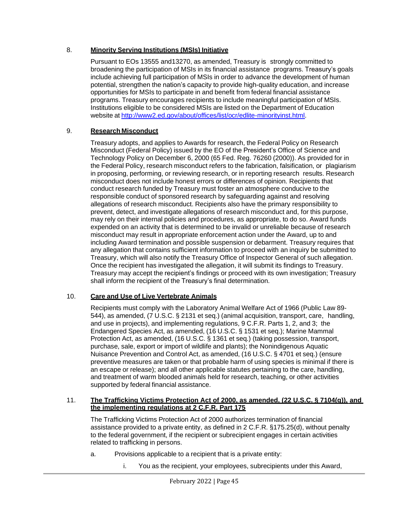## 8. **Minority Serving Institutions (MSIs) Initiative**

Pursuant to EOs 13555 and13270, as amended, Treasury is strongly committed to broadening the participation of MSIs in its financial assistance programs. Treasury's goals include achieving full participation of MSIs in order to advance the development of human potential, strengthen the nation's capacity to provide high-quality education, and increase opportunities for MSIs to participate in and benefit from federal financial assistance programs. Treasury encourages recipients to include meaningful participation of MSIs. Institutions eligible to be considered MSIs are listed on the Department of Education website at [http://www2.ed.gov/about/offices/list/ocr/edlite-minorityinst.html.](http://www2.ed.gov/about/offices/list/ocr/edlite-minorityinst.html)

## <span id="page-46-0"></span>9. **Research Misconduct**

Treasury adopts, and applies to Awards for research, the Federal Policy on Research Misconduct (Federal Policy) issued by the EO of the President's Office of Science and Technology Policy on December 6, 2000 (65 Fed. Reg. 76260 (2000)). As provided for in the Federal Policy, research misconduct refers to the fabrication, falsification, or plagiarism in proposing, performing, or reviewing research, or in reporting research results. Research misconduct does not include honest errors or differences of opinion. Recipients that conduct research funded by Treasury must foster an atmosphere conducive to the responsible conduct of sponsored research by safeguarding against and resolving allegations of research misconduct. Recipients also have the primary responsibility to prevent, detect, and investigate allegations of research misconduct and, for this purpose, may rely on their internal policies and procedures, as appropriate, to do so. Award funds expended on an activity that is determined to be invalid or unreliable because of research misconduct may result in appropriate enforcement action under the Award, up to and including Award termination and possible suspension or debarment. Treasury requires that any allegation that contains sufficient information to proceed with an inquiry be submitted to Treasury, which will also notify the Treasury Office of Inspector General of such allegation. Once the recipient has investigated the allegation, it will submit its findings to Treasury. Treasury may accept the recipient's findings or proceed with its own investigation; Treasury shall inform the recipient of the Treasury's final determination.

## <span id="page-46-1"></span>10. **Care and Use of Live Vertebrate Animals**

Recipients must comply with the Laboratory Animal Welfare Act of 1966 (Public Law 89- 544), as amended, (7 U.S.C. § 2131 et seq.) (animal acquisition, transport, care, handling, and use in projects), and implementing regulations, 9 C.F.R. Parts 1, 2, and 3; the Endangered Species Act, as amended, (16 U.S.C. § 1531 et seq.); Marine Mammal Protection Act, as amended, (16 U.S.C. § 1361 et seq.) (taking possession, transport, purchase, sale, export or import of wildlife and plants); the Nonindigenous Aquatic Nuisance Prevention and Control Act, as amended, (16 U.S.C. § 4701 et seq.) (ensure preventive measures are taken or that probable harm of using species is minimal if there is an escape or release); and all other applicable statutes pertaining to the care, handling, and treatment of warm blooded animals held for research, teaching, or other activities supported by federal financial assistance.

#### <span id="page-46-2"></span>11. **The Trafficking Victims Protection Act of 2000, as amended, (22 U.S.C. § 7104(g)), and the implementing regulations at 2 C.F.R. Part 175**

The Trafficking Victims Protection Act of 2000 authorizes termination of financial assistance provided to a private entity, as defined in 2 C.F.R. §175.25(d), without penalty to the federal government, if the recipient or subrecipient engages in certain activities related to trafficking in persons.

- a. Provisions applicable to a recipient that is a private entity:
	- i. You as the recipient, your employees, subrecipients under this Award,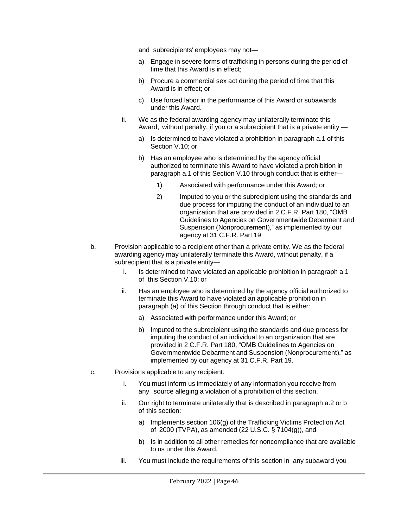and subrecipients' employees may not—

- a) Engage in severe forms of trafficking in persons during the period of time that this Award is in effect;
- b) Procure a commercial sex act during the period of time that this Award is in effect; or
- c) Use forced labor in the performance of this Award or subawards under this Award.
- ii. We as the federal awarding agency may unilaterally terminate this Award, without penalty, if you or a subrecipient that is a private entity
	- a) Is determined to have violated a prohibition in paragraph a.1 of this Section V.10; or
	- b) Has an employee who is determined by the agency official authorized to terminate this Award to have violated a prohibition in paragraph a.1 of this Section V.10 through conduct that is either—
		- 1) Associated with performance under this Award; or
		- 2) Imputed to you or the subrecipient using the standards and due process for imputing the conduct of an individual to an organization that are provided in 2 C.F.R. Part 180, "OMB Guidelines to Agencies on Governmentwide Debarment and Suspension (Nonprocurement)," as implemented by our agency at 31 C.F.R. Part 19.
- b. Provision applicable to a recipient other than a private entity. We as the federal awarding agency may unilaterally terminate this Award, without penalty, if a subrecipient that is a private entity
	- i. Is determined to have violated an applicable prohibition in paragraph a.1 of this Section V.10; or
	- ii. Has an employee who is determined by the agency official authorized to terminate this Award to have violated an applicable prohibition in paragraph (a) of this Section through conduct that is either:
		- a) Associated with performance under this Award; or
		- b) Imputed to the subrecipient using the standards and due process for imputing the conduct of an individual to an organization that are provided in 2 C.F.R. Part 180, "OMB Guidelines to Agencies on .<br>Governmentwide Debarment and Suspension (Nonprocurement)," as implemented by our agency at 31 C.F.R. Part 19.
- c. Provisions applicable to any recipient:
	- i. You must inform us immediately of any information you receive from any source alleging a violation of a prohibition of this section.
	- ii. Our right to terminate unilaterally that is described in paragraph a.2 or b of this section:
		- a) Implements section 106(g) of the Trafficking Victims Protection Act of 2000 (TVPA), as amended (22 U.S.C. § 7104(g)), and
		- b) Is in addition to all other remedies for noncompliance that are available to us under this Award.
	- iii. You must include the requirements of this section in any subaward you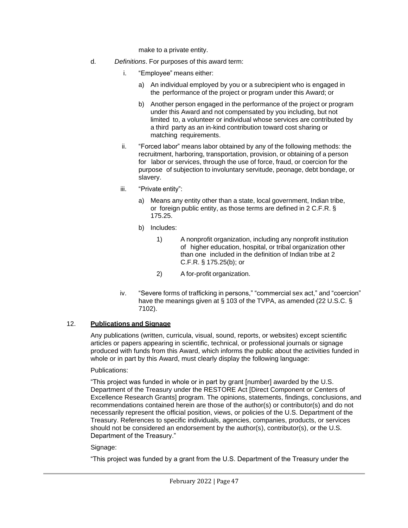make to a private entity.

- d. *Definitions*. For purposes of this award term:
	- i. "Employee" means either:
		- a) An individual employed by you or a subrecipient who is engaged in the performance of the project or program under this Award; or
		- b) Another person engaged in the performance of the project or program under this Award and not compensated by you including, but not limited to, a volunteer or individual whose services are contributed by a third party as an in-kind contribution toward cost sharing or matching requirements.
	- ii. "Forced labor" means labor obtained by any of the following methods: the recruitment, harboring, transportation, provision, or obtaining of a person for labor or services, through the use of force, fraud, or coercion for the purpose of subjection to involuntary servitude, peonage, debt bondage, or slavery.
	- iii. "Private entity":
		- a) Means any entity other than a state, local government, Indian tribe, or foreign public entity, as those terms are defined in 2 C.F.R. § 175.25.
		- b) Includes:
			- 1) A nonprofit organization, including any nonprofit institution of higher education, hospital, or tribal organization other than one included in the definition of Indian tribe at 2 C.F.R. § 175.25(b); or
			- 2) A for-profit organization.
	- iv. "Severe forms of trafficking in persons," "commercial sex act," and "coercion" have the meanings given at § 103 of the TVPA, as amended (22 U.S.C. § 7102).

## <span id="page-48-0"></span>12. **Publications and Signage**

Any publications (written, curricula, visual, sound, reports, or websites) except scientific articles or papers appearing in scientific, technical, or professional journals or signage produced with funds from this Award, which informs the public about the activities funded in whole or in part by this Award, must clearly display the following language:

#### Publications:

"This project was funded in whole or in part by grant [number] awarded by the U.S. Department of the Treasury under the RESTORE Act [Direct Component or Centers of Excellence Research Grants] program. The opinions, statements, findings, conclusions, and recommendations contained herein are those of the author(s) or contributor(s) and do not necessarily represent the official position, views, or policies of the U.S. Department of the Treasury. References to specific individuals, agencies, companies, products, or services should not be considered an endorsement by the author(s), contributor(s), or the U.S. Department of the Treasury."

## Signage:

"This project was funded by a grant from the U.S. Department of the Treasury under the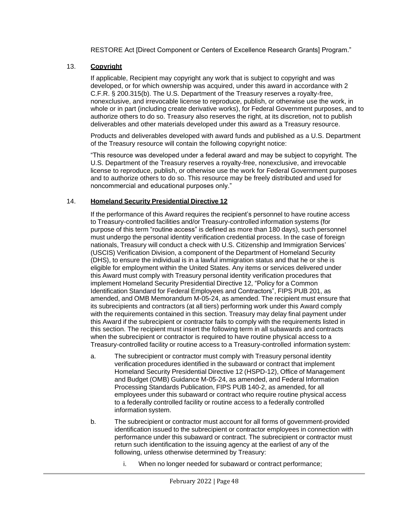RESTORE Act [Direct Component or Centers of Excellence Research Grants] Program."

## <span id="page-49-0"></span>13. **Copyright**

If applicable, Recipient may copyright any work that is subject to copyright and was developed, or for which ownership was acquired, under this award in accordance with 2 C.F.R. § 200.315(b). The U.S. Department of the Treasury reserves a royalty-free, nonexclusive, and irrevocable license to reproduce, publish, or otherwise use the work, in whole or in part (including create derivative works), for Federal Government purposes, and to authorize others to do so. Treasury also reserves the right, at its discretion, not to publish deliverables and other materials developed under this award as a Treasury resource.

Products and deliverables developed with award funds and published as a U.S. Department of the Treasury resource will contain the following copyright notice:

"This resource was developed under a federal award and may be subject to copyright. The U.S. Department of the Treasury reserves a royalty-free, nonexclusive, and irrevocable license to reproduce, publish, or otherwise use the work for Federal Government purposes and to authorize others to do so. This resource may be freely distributed and used for noncommercial and educational purposes only."

## <span id="page-49-1"></span>14. **Homeland Security Presidential Directive 12**

If the performance of this Award requires the recipient's personnel to have routine access to Treasury-controlled facilities and/or Treasury-controlled information systems (for purpose of this term "routine access" is defined as more than 180 days), such personnel must undergo the personal identity verification credential process. In the case of foreign nationals, Treasury will conduct a check with U.S. Citizenship and Immigration Services' (USCIS) Verification Division, a component of the Department of Homeland Security (DHS), to ensure the individual is in a lawful immigration status and that he or she is eligible for employment within the United States. Any items or services delivered under this Award must comply with Treasury personal identity verification procedures that implement Homeland Security Presidential Directive 12, "Policy for a Common Identification Standard for Federal Employees and Contractors", FIPS PUB 201, as amended, and OMB Memorandum M-05-24, as amended. The recipient must ensure that its subrecipients and contractors (at all tiers) performing work under this Award comply with the requirements contained in this section. Treasury may delay final payment under this Award if the subrecipient or contractor fails to comply with the requirements listed in this section. The recipient must insert the following term in all subawards and contracts when the subrecipient or contractor is required to have routine physical access to a Treasury-controlled facility or routine access to a Treasury-controlled information system:

- a. The subrecipient or contractor must comply with Treasury personal identity verification procedures identified in the subaward or contract that implement Homeland Security Presidential Directive 12 (HSPD-12), Office of Management and Budget (OMB) Guidance M-05-24, as amended, and Federal Information Processing Standards Publication, FIPS PUB 140-2, as amended, for all employees under this subaward or contract who require routine physical access to a federally controlled facility or routine access to a federally controlled information system.
- b. The subrecipient or contractor must account for all forms of government-provided identification issued to the subrecipient or contractor employees in connection with performance under this subaward or contract. The subrecipient or contractor must return such identification to the issuing agency at the earliest of any of the following, unless otherwise determined by Treasury:
	- i. When no longer needed for subaward or contract performance;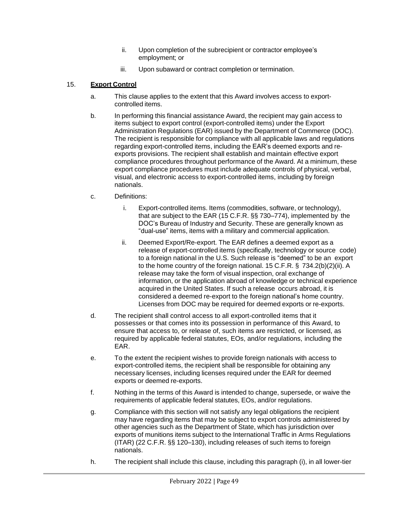- ii. Upon completion of the subrecipient or contractor employee's employment; or
- iii. Upon subaward or contract completion or termination.

## <span id="page-50-0"></span>15. **Export Control**

- a. This clause applies to the extent that this Award involves access to exportcontrolled items.
- b. In performing this financial assistance Award, the recipient may gain access to items subject to export control (export-controlled items) under the Export Administration Regulations (EAR) issued by the Department of Commerce (DOC). The recipient is responsible for compliance with all applicable laws and regulations regarding export-controlled items, including the EAR's deemed exports and reexports provisions. The recipient shall establish and maintain effective export compliance procedures throughout performance of the Award. At a minimum, these export compliance procedures must include adequate controls of physical, verbal, visual, and electronic access to export-controlled items, including by foreign nationals.
- c. Definitions:
	- i. Export-controlled items. Items (commodities, software, or technology), that are subject to the EAR (15 C.F.R. §§ 730–774), implemented by the DOC's Bureau of Industry and Security. These are generally known as "dual-use" items, items with a military and commercial application.
	- ii. Deemed Export/Re-export. The EAR defines a deemed export as a release of export-controlled items (specifically, technology or source code) to a foreign national in the U.S. Such release is "deemed" to be an export to the home country of the foreign national. 15 C.F.R. § 734.2(b)(2)(ii). A release may take the form of visual inspection, oral exchange of information, or the application abroad of knowledge or technical experience acquired in the United States. If such a release occurs abroad, it is considered a deemed re-export to the foreign national's home country. Licenses from DOC may be required for deemed exports or re-exports.
- d. The recipient shall control access to all export-controlled items that it possesses or that comes into its possession in performance of this Award, to ensure that access to, or release of, such items are restricted, or licensed, as required by applicable federal statutes, EOs, and/or regulations, including the EAR.
- e. To the extent the recipient wishes to provide foreign nationals with access to export-controlled items, the recipient shall be responsible for obtaining any necessary licenses, including licenses required under the EAR for deemed exports or deemed re-exports.
- f. Nothing in the terms of this Award is intended to change, supersede, or waive the requirements of applicable federal statutes, EOs, and/or regulations.
- g. Compliance with this section will not satisfy any legal obligations the recipient may have regarding items that may be subject to export controls administered by other agencies such as the Department of State, which has jurisdiction over exports of munitions items subject to the International Traffic in Arms Regulations (ITAR) (22 C.F.R. §§ 120–130), including releases of such items to foreign nationals.
- h. The recipient shall include this clause, including this paragraph (i), in all lower-tier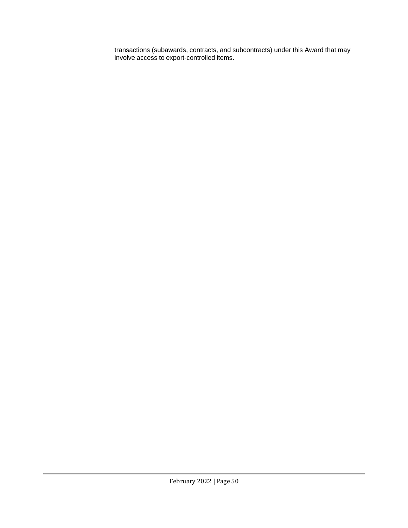transactions (subawards, contracts, and subcontracts) under this Award that may involve access to export-controlled items.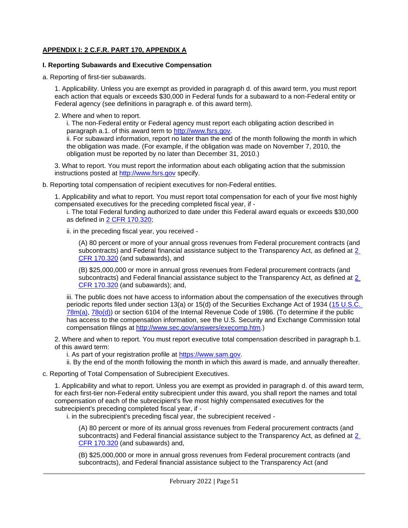## <span id="page-52-0"></span>**APPENDIX I: 2 C.F.R. PART 170, APPENDIX A**

#### **I. Reporting Subawards and Executive Compensation**

a. Reporting of first-tier subawards.

1. Applicability. Unless you are exempt as provided in paragraph d. of this award term, you must report each action that equals or exceeds \$30,000 in Federal funds for a subaward to a non-Federal entity or Federal agency (see definitions in paragraph e. of this award term).

2. Where and when to report.

i. The non-Federal entity or Federal agency must report each obligating action described in paragraph a.1. of this award term to [http://www.fsrs.gov.](http://www.fsrs.gov/)

ii. For subaward information, report no later than the end of the month following the month in which the obligation was made. (For example, if the obligation was made on November 7, 2010, the obligation must be reported by no later than December 31, 2010.)

3. What to report. You must report the information about each obligating action that the submission instructions posted at [http://www.fsrs.gov](http://www.fsrs.gov/) specify.

b. Reporting total compensation of recipient executives for non-Federal entities.

1. Applicability and what to report. You must report total compensation for each of your five most highly compensated executives for the preceding completed fiscal year, if -

i. The total Federal funding authorized to date under this Federal award equals or exceeds \$30,000 as defined in [2 CFR 170.320;](https://www.ecfr.gov/current/title-2/section-170.320)

ii. in the preceding fiscal year, you received -

(A) 80 percent or more of your annual gross revenues from Federal procurement contracts (and subcontracts) and Federal financial assistance subject to the Transparency Act, as defined at 2 [CFR 170.320](https://www.ecfr.gov/current/title-2/section-170.320) (and subawards), and

(B) \$25,000,000 or more in annual gross revenues from Federal procurement contracts (and subcontracts) and Federal financial assistance subject to the Transparency Act, as defined at 2 [CFR 170.320](https://www.ecfr.gov/current/title-2/section-170.320) (and subawards); and,

iii. The public does not have access to information about the compensation of the executives through periodic reports filed under section 13(a) or 15(d) of the Securities Exchange Act of 1934 [\(15 U.S.C.](https://www.govinfo.gov/link/uscode/15/78m)  [78m\(a\),](https://www.govinfo.gov/link/uscode/15/78m) [78o\(d\)\)](https://www.govinfo.gov/link/uscode/15/78o) or section 6104 of the Internal Revenue Code of 1986. (To determine if the public has access to the compensation information, see the U.S. Security and Exchange Commission total compensation filings at [http://www.sec.gov/answers/execomp.htm.](http://www.sec.gov/answers/execomp.htm))

2. Where and when to report. You must report executive total compensation described in paragraph b.1. of this award term:

i. As part of your registration profile at [https://www.sam.gov.](https://www.sam.gov/)

- ii. By the end of the month following the month in which this award is made, and annually thereafter.
- c. Reporting of Total Compensation of Subrecipient Executives.

1. Applicability and what to report. Unless you are exempt as provided in paragraph d. of this award term, for each first-tier non-Federal entity subrecipient under this award, you shall report the names and total compensation of each of the subrecipient's five most highly compensated executives for the subrecipient's preceding completed fiscal year, if -

i. in the subrecipient's preceding fiscal year, the subrecipient received -

(A) 80 percent or more of its annual gross revenues from Federal procurement contracts (and subcontracts) and Federal financial assistance subject to the Transparency Act, as defined at 2 [CFR 170.320](https://www.ecfr.gov/current/title-2/section-170.320) (and subawards) and,

(B) \$25,000,000 or more in annual gross revenues from Federal procurement contracts (and subcontracts), and Federal financial assistance subject to the Transparency Act (and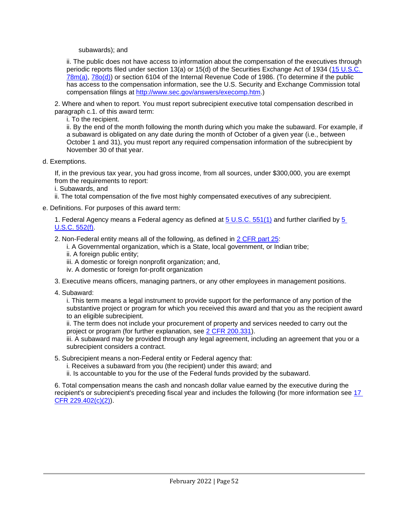subawards); and

ii. The public does not have access to information about the compensation of the executives through periodic reports filed under section 13(a) or 15(d) of the Securities Exchange Act of 1934 (15 U.S.C. [78m\(a\),](https://www.govinfo.gov/link/uscode/15/78m) [78o\(d\)\)](https://www.govinfo.gov/link/uscode/15/78o) or section 6104 of the Internal Revenue Code of 1986. (To determine if the public has access to the compensation information, see the U.S. Security and Exchange Commission total compensation filings at [http://www.sec.gov/answers/execomp.htm.](http://www.sec.gov/answers/execomp.htm))

2. Where and when to report. You must report subrecipient executive total compensation described in paragraph c.1. of this award term:

i. To the recipient.

ii. By the end of the month following the month during which you make the subaward. For example, if a subaward is obligated on any date during the month of October of a given year (i.e., between October 1 and 31), you must report any required compensation information of the subrecipient by November 30 of that year.

d. Exemptions.

If, in the previous tax year, you had gross income, from all sources, under \$300,000, you are exempt from the requirements to report:

i. Subawards, and

ii. The total compensation of the five most highly compensated executives of any subrecipient.

e. Definitions. For purposes of this award term:

1. Federal Agency means a Federal agency as defined at  $5 \text{ U.S.C. } 551(1)$  and further clarified by  $5$ [U.S.C. 552\(f\).](https://www.govinfo.gov/link/uscode/5/552)

2. Non-Federal entity means all of the following, as defined in [2 CFR part 25:](https://www.ecfr.gov/current/title-2/part-25)

i. A Governmental organization, which is a State, local government, or Indian tribe;

ii. A foreign public entity;

iii. A domestic or foreign nonprofit organization; and,

iv. A domestic or foreign for-profit organization

- 3. Executive means officers, managing partners, or any other employees in management positions.
- 4. Subaward:

i. This term means a legal instrument to provide support for the performance of any portion of the substantive project or program for which you received this award and that you as the recipient award to an eligible subrecipient.

ii. The term does not include your procurement of property and services needed to carry out the project or program (for further explanation, see [2 CFR 200.331\)](https://www.ecfr.gov/current/title-2/section-200.331).

iii. A subaward may be provided through any legal agreement, including an agreement that you or a subrecipient considers a contract.

5. Subrecipient means a non-Federal entity or Federal agency that:

- i. Receives a subaward from you (the recipient) under this award; and
- ii. Is accountable to you for the use of the Federal funds provided by the subaward.

<span id="page-53-0"></span>6. Total compensation means the cash and noncash dollar value earned by the executive during the recipient's or subrecipient's preceding fiscal year and includes the following (for more information see [17](https://www.ecfr.gov/current/title-17/section-229.402#p-229.402(c)(2))  [CFR 229.402\(c\)\(2\)\)](https://www.ecfr.gov/current/title-17/section-229.402#p-229.402(c)(2)).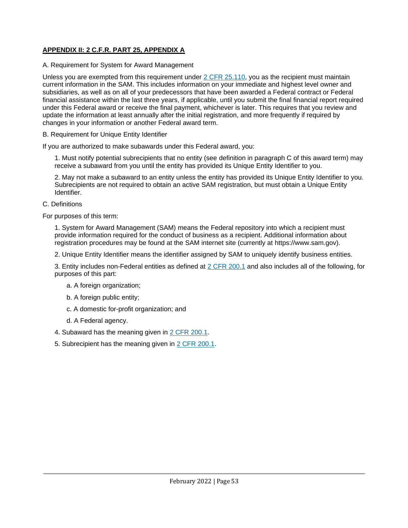## **APPENDIX II: 2 C.F.R. PART 25, APPENDIX A**

A. Requirement for System for Award Management

Unless you are exempted from this requirement under [2 CFR 25.110,](https://www.law.cornell.edu/cfr/text/2/25.110) you as the recipient must maintain current information in the SAM. This includes information on your immediate and highest level owner and subsidiaries, as well as on all of your predecessors that have been awarded a Federal contract or Federal financial assistance within the last three years, if applicable, until you submit the final financial report required under this Federal award or receive the final payment, whichever is later. This requires that you review and update the information at least annually after the initial registration, and more frequently if required by changes in your information or another Federal award term.

B. Requirement for Unique Entity Identifier

If you are authorized to make subawards under this Federal award, you:

1. Must notify potential subrecipients that no entity (see definition in paragraph C of this award term) may receive a subaward from you until the entity has provided its Unique Entity Identifier to you.

2. May not make a subaward to an entity unless the entity has provided its Unique Entity Identifier to you. Subrecipients are not required to obtain an active SAM registration, but must obtain a Unique Entity Identifier.

C. Definitions

For purposes of this term:

1. System for Award Management (SAM) means the Federal repository into which a recipient must provide information required for the conduct of business as a recipient. Additional information about registration procedures may be found at the SAM internet site (currently at https://www.sam.gov).

2. Unique Entity Identifier means the identifier assigned by SAM to uniquely identify business entities.

3. Entity includes non-Federal entities as defined at [2 CFR 200.1](https://www.law.cornell.edu/cfr/text/2/200.1) and also includes all of the following, for purposes of this part:

a. A foreign organization;

- b. A foreign public entity;
- c. A domestic for-profit organization; and
- d. A Federal agency.
- 4. Subaward has the meaning given in [2 CFR 200.1.](https://www.law.cornell.edu/cfr/text/2/200.1)
- 5. Subrecipient has the meaning given in [2 CFR 200.1.](https://www.law.cornell.edu/cfr/text/2/200.1)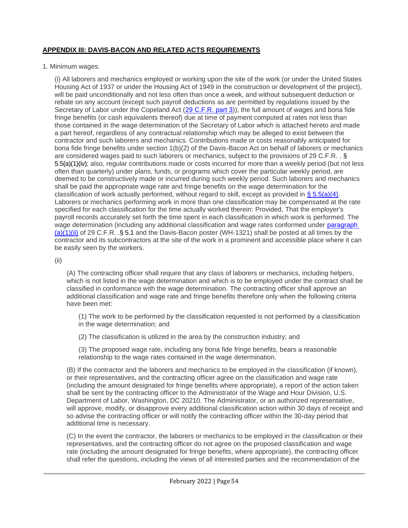## <span id="page-55-0"></span>**APPENDIX III: DAVIS-BACON AND RELATED ACTS REQUIREMENTS**

## 1. Minimum wages.

(i) All laborers and mechanics employed or working upon the site of the work (or under the United States Housing Act of 1937 or under the Housing Act of 1949 in the construction or development of the project), will be paid unconditionally and not less often than once a week, and without subsequent deduction or rebate on any account (except such payroll deductions as are permitted by regulations issued by the Secretary of Labor under the Copeland Act [\(29 C.F.R. part 3\)](https://www.ecfr.gov/current/title-29/part-3)), the full amount of wages and bona fide fringe benefits (or cash equivalents thereof) due at time of payment computed at rates not less than those contained in the wage determination of the Secretary of Labor which is attached hereto and made a part hereof, regardless of any contractual relationship which may be alleged to exist between the contractor and such laborers and mechanics. Contributions made or costs reasonably anticipated for bona fide fringe benefits under section 1(b)(2) of the Davis-Bacon Act on behalf of laborers or mechanics are considered wages paid to such laborers or mechanics, subject to the provisions of 29 C.F.R. . § 5.5(a)(1)(iv); also, regular contributions made or costs incurred for more than a weekly period (but not less often than quarterly) under plans, funds, or programs which cover the particular weekly period, are deemed to be constructively made or incurred during such weekly period. Such laborers and mechanics shall be paid the appropriate wage rate and fringe benefits on the wage determination for the classification of work actually performed, without regard to skill, except as provided in  $\S 5.5(a)(4)$ . Laborers or mechanics performing work in more than one classification may be compensated at the rate specified for each classification for the time actually worked therein: Provided, That the employer's payroll records accurately set forth the time spent in each classification in which work is performed. The wage determination (including any additional classification and wage rates conformed under paragraph [\(a\)\(1\)\(ii\)](https://www.ecfr.gov/current/title-29/section-5.5#p-5.5(a)(1)(ii)) of 29 C.F.R. .§ 5.1 and the Davis-Bacon poster (WH-1321) shall be posted at all times by the contractor and its subcontractors at the site of the work in a prominent and accessible place where it can be easily seen by the workers.

(ii)

(A) The contracting officer shall require that any class of laborers or mechanics, including helpers, which is not listed in the wage determination and which is to be employed under the contract shall be classified in conformance with the wage determination. The contracting officer shall approve an additional classification and wage rate and fringe benefits therefore only when the following criteria have been met:

(1) The work to be performed by the classification requested is not performed by a classification in the wage determination; and

(2) The classification is utilized in the area by the construction industry; and

(3) The proposed wage rate, including any bona fide fringe benefits, bears a reasonable relationship to the wage rates contained in the wage determination.

(B) If the contractor and the laborers and mechanics to be employed in the classification (if known), or their representatives, and the contracting officer agree on the classification and wage rate (including the amount designated for fringe benefits where appropriate), a report of the action taken shall be sent by the contracting officer to the Administrator of the Wage and Hour Division, U.S. Department of Labor, Washington, DC 20210. The Administrator, or an authorized representative, will approve, modify, or disapprove every additional classification action within 30 days of receipt and so advise the contracting officer or will notify the contracting officer within the 30-day period that additional time is necessary.

(C) In the event the contractor, the laborers or mechanics to be employed in the classification or their representatives, and the contracting officer do not agree on the proposed classification and wage rate (including the amount designated for fringe benefits, where appropriate), the contracting officer shall refer the questions, including the views of all interested parties and the recommendation of the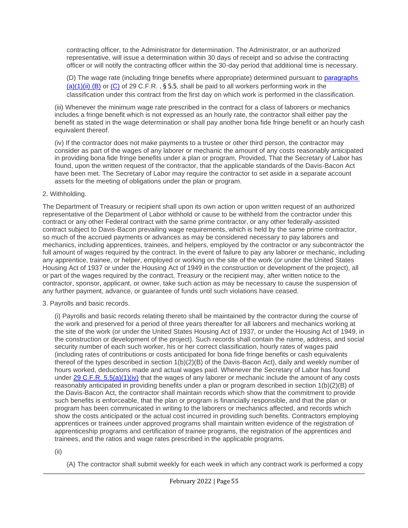contracting officer, to the Administrator for determination. The Administrator, or an authorized representative, will issue a determination within 30 days of receipt and so advise the contracting officer or will notify the contracting officer within the 30-day period that additional time is necessary.

(D) The wage rate (including fringe benefits where appropriate) determined pursuant to [paragraphs](https://www.ecfr.gov/current/title-29/section-5.5#p-5.5(a)(1)(ii)(B))   $(a)(1)(ii)$  (B) or  $(C)$  of 29 C.F.R. . § 5.5, shall be paid to all workers performing work in the classification under this contract from the first day on which work is performed in the classification.

(iii) Whenever the minimum wage rate prescribed in the contract for a class of laborers or mechanics includes a fringe benefit which is not expressed as an hourly rate, the contractor shall either pay the benefit as stated in the wage determination or shall pay another bona fide fringe benefit or an hourly cash equivalent thereof.

(iv) If the contractor does not make payments to a trustee or other third person, the contractor may consider as part of the wages of any laborer or mechanic the amount of any costs reasonably anticipated in providing bona fide fringe benefits under a plan or program, Provided, That the Secretary of Labor has found, upon the written request of the contractor, that the applicable standards of the Davis-Bacon Act have been met. The Secretary of Labor may require the contractor to set aside in a separate account assets for the meeting of obligations under the plan or program.

#### 2. Withholding.

The Department of Treasury or recipient shall upon its own action or upon written request of an authorized representative of the Department of Labor withhold or cause to be withheld from the contractor under this contract or any other Federal contract with the same prime contractor, or any other federally-assisted contract subject to Davis-Bacon prevailing wage requirements, which is held by the same prime contractor, so much of the accrued payments or advances as may be considered necessary to pay laborers and mechanics, including apprentices, trainees, and helpers, employed by the contractor or any subcontractor the full amount of wages required by the contract. In the event of failure to pay any laborer or mechanic, including any apprentice, trainee, or helper, employed or working on the site of the work (or under the United States Housing Act of 1937 or under the Housing Act of 1949 in the construction or development of the project), all or part of the wages required by the contract, Treasury or the recipient may, after written notice to the contractor, sponsor, applicant, or owner, take such action as may be necessary to cause the suspension of any further payment, advance, or guarantee of funds until such violations have ceased.

#### 3. Payrolls and basic records.

(i) Payrolls and basic records relating thereto shall be maintained by the contractor during the course of the work and preserved for a period of three years thereafter for all laborers and mechanics working at the site of the work (or under the United States Housing Act of 1937, or under the Housing Act of 1949, in the construction or development of the project). Such records shall contain the name, address, and social security number of each such worker, his or her correct classification, hourly rates of wages paid (including rates of contributions or costs anticipated for bona fide fringe benefits or cash equivalents thereof of the types described in section 1(b)(2)(B) of the Davis-Bacon Act), daily and weekly number of hours worked, deductions made and actual wages paid. Whenever the Secretary of Labor has found under [29 C.F.R. 5.5\(a\)\(1\)\(iv\)](https://www.ecfr.gov/current/title-29/section-5.5#p-5.5(a)(1)(iv)) that the wages of any laborer or mechanic include the amount of any costs reasonably anticipated in providing benefits under a plan or program described in section 1(b)(2)(B) of the Davis-Bacon Act, the contractor shall maintain records which show that the commitment to provide such benefits is enforceable, that the plan or program is financially responsible, and that the plan or program has been communicated in writing to the laborers or mechanics affected, and records which show the costs anticipated or the actual cost incurred in providing such benefits. Contractors employing apprentices or trainees under approved programs shall maintain written evidence of the registration of apprenticeship programs and certification of trainee programs, the registration of the apprentices and trainees, and the ratios and wage rates prescribed in the applicable programs.

(ii)

(A) The contractor shall submit weekly for each week in which any contract work is performed a copy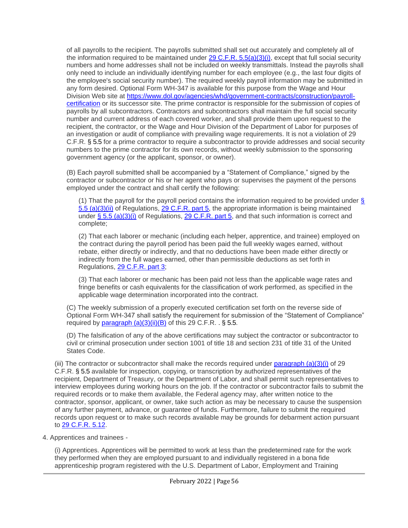of all payrolls to the recipient. The payrolls submitted shall set out accurately and completely all of the information required to be maintained under 29 C.F.R.  $5.5(a)(3)(i)$ , except that full social security numbers and home addresses shall not be included on weekly transmittals. Instead the payrolls shall only need to include an individually identifying number for each employee (e.g., the last four digits of the employee's social security number). The required weekly payroll information may be submitted in any form desired. Optional Form WH-347 is available for this purpose from the Wage and Hour Division Web site at [https://www.dol.gov/agencies/whd/government-contracts/construction/payroll](https://www.dol.gov/agencies/whd/government-contracts/construction/payroll-certification)[certification](https://www.dol.gov/agencies/whd/government-contracts/construction/payroll-certification) or its successor site. The prime contractor is responsible for the submission of copies of payrolls by all subcontractors. Contractors and subcontractors shall maintain the full social security number and current address of each covered worker, and shall provide them upon request to the recipient, the contractor, or the Wage and Hour Division of the Department of Labor for purposes of an investigation or audit of compliance with prevailing wage requirements. It is not a violation of 29 C.F.R. § 5.5 for a prime contractor to require a subcontractor to provide addresses and social security numbers to the prime contractor for its own records, without weekly submission to the sponsoring government agency (or the applicant, sponsor, or owner).

(B) Each payroll submitted shall be accompanied by a "Statement of Compliance," signed by the contractor or subcontractor or his or her agent who pays or supervises the payment of the persons employed under the contract and shall certify the following:

(1) That the payroll for the payroll period contains the information required to be provided under  $\frac{8}{9}$ [5.5 \(a\)\(3\)\(ii\)](https://www.ecfr.gov/current/title-29/section-5.5#p-5.5(a)(3)(ii)) of Regulations, [29 C.F.R. part 5,](https://www.ecfr.gov/current/title-29/part-5) the appropriate information is being maintained under  $\S$  5.5 (a)(3)(i) of Regulations, [29 C.F.R. part 5,](https://www.ecfr.gov/current/title-29/part-5) and that such information is correct and complete;

(2) That each laborer or mechanic (including each helper, apprentice, and trainee) employed on the contract during the payroll period has been paid the full weekly wages earned, without rebate, either directly or indirectly, and that no deductions have been made either directly or indirectly from the full wages earned, other than permissible deductions as set forth in Regulations, [29 C.F.R. part 3;](https://www.ecfr.gov/current/title-29/part-3)

(3) That each laborer or mechanic has been paid not less than the applicable wage rates and fringe benefits or cash equivalents for the classification of work performed, as specified in the applicable wage determination incorporated into the contract.

(C) The weekly submission of a properly executed certification set forth on the reverse side of Optional Form WH-347 shall satisfy the requirement for submission of the "Statement of Compliance" required by paragraph  $(a)(3)(ii)(B)$  of this 29 C.F.R. . § 5.5.

(D) The falsification of any of the above certifications may subject the contractor or subcontractor to civil or criminal prosecution under section 1001 of title 18 and section 231 of title 31 of the United States Code.

(iii) The contractor or subcontractor shall make the records required under paragraph  $(a)(3)(i)$  of 29 C.F.R. § 5.5 available for inspection, copying, or transcription by authorized representatives of the recipient, Department of Treasury, or the Department of Labor, and shall permit such representatives to interview employees during working hours on the job. If the contractor or subcontractor fails to submit the required records or to make them available, the Federal agency may, after written notice to the contractor, sponsor, applicant, or owner, take such action as may be necessary to cause the suspension of any further payment, advance, or guarantee of funds. Furthermore, failure to submit the required records upon request or to make such records available may be grounds for debarment action pursuant to [29 C.F.R. 5.12.](https://www.ecfr.gov/current/title-29/section-5.12)

4. Apprentices and trainees -

(i) Apprentices. Apprentices will be permitted to work at less than the predetermined rate for the work they performed when they are employed pursuant to and individually registered in a bona fide apprenticeship program registered with the U.S. Department of Labor, Employment and Training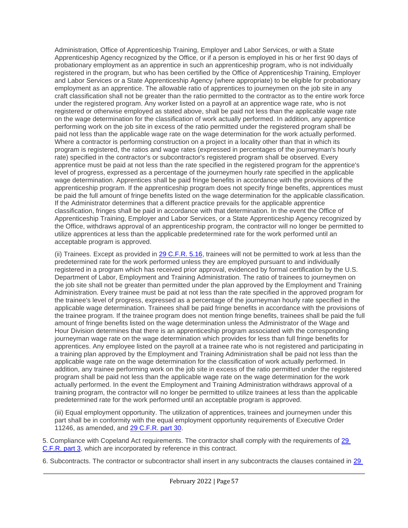Administration, Office of Apprenticeship Training, Employer and Labor Services, or with a State Apprenticeship Agency recognized by the Office, or if a person is employed in his or her first 90 days of probationary employment as an apprentice in such an apprenticeship program, who is not individually registered in the program, but who has been certified by the Office of Apprenticeship Training, Employer and Labor Services or a State Apprenticeship Agency (where appropriate) to be eligible for probationary employment as an apprentice. The allowable ratio of apprentices to journeymen on the job site in any craft classification shall not be greater than the ratio permitted to the contractor as to the entire work force under the registered program. Any worker listed on a payroll at an apprentice wage rate, who is not registered or otherwise employed as stated above, shall be paid not less than the applicable wage rate on the wage determination for the classification of work actually performed. In addition, any apprentice performing work on the job site in excess of the ratio permitted under the registered program shall be paid not less than the applicable wage rate on the wage determination for the work actually performed. Where a contractor is performing construction on a project in a locality other than that in which its program is registered, the ratios and wage rates (expressed in percentages of the journeyman's hourly rate) specified in the contractor's or subcontractor's registered program shall be observed. Every apprentice must be paid at not less than the rate specified in the registered program for the apprentice's level of progress, expressed as a percentage of the journeymen hourly rate specified in the applicable wage determination. Apprentices shall be paid fringe benefits in accordance with the provisions of the apprenticeship program. If the apprenticeship program does not specify fringe benefits, apprentices must be paid the full amount of fringe benefits listed on the wage determination for the applicable classification. If the Administrator determines that a different practice prevails for the applicable apprentice classification, fringes shall be paid in accordance with that determination. In the event the Office of Apprenticeship Training, Employer and Labor Services, or a State Apprenticeship Agency recognized by the Office, withdraws approval of an apprenticeship program, the contractor will no longer be permitted to utilize apprentices at less than the applicable predetermined rate for the work performed until an acceptable program is approved.

(ii) Trainees. Except as provided in [29 C.F.R. 5.16,](https://www.ecfr.gov/current/title-29/section-5.16) trainees will not be permitted to work at less than the predetermined rate for the work performed unless they are employed pursuant to and individually registered in a program which has received prior approval, evidenced by formal certification by the U.S. Department of Labor, Employment and Training Administration. The ratio of trainees to journeymen on the job site shall not be greater than permitted under the plan approved by the Employment and Training Administration. Every trainee must be paid at not less than the rate specified in the approved program for the trainee's level of progress, expressed as a percentage of the journeyman hourly rate specified in the applicable wage determination. Trainees shall be paid fringe benefits in accordance with the provisions of the trainee program. If the trainee program does not mention fringe benefits, trainees shall be paid the full amount of fringe benefits listed on the wage determination unless the Administrator of the Wage and Hour Division determines that there is an apprenticeship program associated with the corresponding journeyman wage rate on the wage determination which provides for less than full fringe benefits for apprentices. Any employee listed on the payroll at a trainee rate who is not registered and participating in a training plan approved by the Employment and Training Administration shall be paid not less than the applicable wage rate on the wage determination for the classification of work actually performed. In addition, any trainee performing work on the job site in excess of the ratio permitted under the registered program shall be paid not less than the applicable wage rate on the wage determination for the work actually performed. In the event the Employment and Training Administration withdraws approval of a training program, the contractor will no longer be permitted to utilize trainees at less than the applicable predetermined rate for the work performed until an acceptable program is approved.

(iii) Equal employment opportunity. The utilization of apprentices, trainees and journeymen under this part shall be in conformity with the equal employment opportunity requirements of Executive Order 11246, as amended, and [29 C.F.R. part 30.](https://www.ecfr.gov/current/title-29/part-30)

5. Compliance with Copeland Act requirements. The contractor shall comply with the requirements of [29](https://www.ecfr.gov/current/title-29/part-3)  [C.F.R. part 3,](https://www.ecfr.gov/current/title-29/part-3) which are incorporated by reference in this contract.

6. Subcontracts. The contractor or subcontractor shall insert in any subcontracts the clauses contained in [29](https://www.ecfr.gov/current/title-29/section-5.5#p-5.5(a)(1))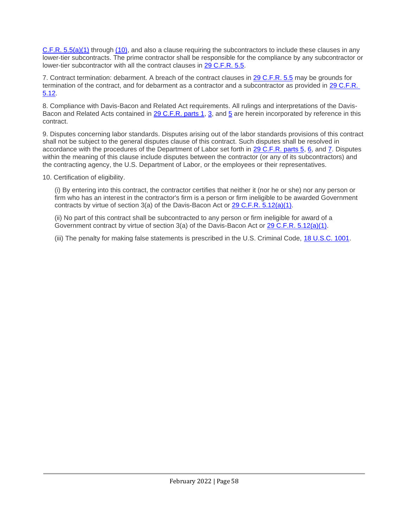[C.F.R. 5.5\(a\)\(1\)](https://www.ecfr.gov/current/title-29/section-5.5#p-5.5(a)(1)) through [\(10\),](https://www.ecfr.gov/current/title-29/section-5.5#p-5.5(a)(10)) and also a clause requiring the subcontractors to include these clauses in any lower-tier subcontracts. The prime contractor shall be responsible for the compliance by any subcontractor or lower-tier subcontractor with all the contract clauses in [29 C.F.R. 5.5.](https://www.ecfr.gov/current/title-29/section-5.5)

7. Contract termination: debarment. A breach of the contract clauses in [29 C.F.R.](https://www.ecfr.gov/current/title-29/section-5.5) 5.5 may be grounds for termination of the contract, and for debarment as a contractor and a subcontractor as provided in [29 C.F.R.](https://www.ecfr.gov/current/title-29/section-5.12)  [5.12.](https://www.ecfr.gov/current/title-29/section-5.12)

8. Compliance with Davis-Bacon and Related Act requirements. All rulings and interpretations of the Davis-Bacon and Related Acts contained in [29 C.F.R. parts 1,](https://www.ecfr.gov/current/title-29/part-1) [3,](https://www.ecfr.gov/current/title-29/part-3) and [5](https://www.ecfr.gov/current/title-29/part-5) are herein incorporated by reference in this contract.

9. Disputes concerning labor standards. Disputes arising out of the labor standards provisions of this contract shall not be subject to the general disputes clause of this contract. Such disputes shall be resolved in accordance with the procedures of the Department of Labor set forth in [29 C.F.R. parts 5,](https://www.ecfr.gov/current/title-29/part-5) [6,](https://www.ecfr.gov/current/title-29/part-6) and [7.](https://www.ecfr.gov/current/title-29/part-7) Disputes within the meaning of this clause include disputes between the contractor (or any of its subcontractors) and the contracting agency, the U.S. Department of Labor, or the employees or their representatives.

10. Certification of eligibility.

(i) By entering into this contract, the contractor certifies that neither it (nor he or she) nor any person or firm who has an interest in the contractor's firm is a person or firm ineligible to be awarded Government contracts by virtue of section  $3(a)$  of the Davis-Bacon Act or  $29$  C.F.R.  $5.12(a)(1)$ .

(ii) No part of this contract shall be subcontracted to any person or firm ineligible for award of a Government contract by virtue of section 3(a) of the Davis-Bacon Act or [29 C.F.R. 5.12\(a\)\(1\).](https://www.ecfr.gov/current/title-29/section-5.12#p-5.12(a)(1))

(iii) The penalty for making false statements is prescribed in the U.S. Criminal Code, [18 U.S.C. 1001.](https://www.govinfo.gov/link/uscode/18/1001)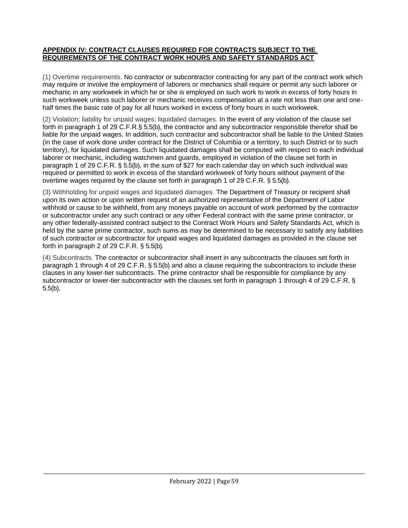#### <span id="page-60-0"></span>**APPENDIX IV: CONTRACT CLAUSES REQUIRED FOR CONTRACTS SUBJECT TO THE REQUIREMENTS OF THE CONTRACT WORK HOURS AND SAFETY STANDARDS ACT**

(1) Overtime requirements. No contractor or subcontractor contracting for any part of the contract work which may require or involve the employment of laborers or mechanics shall require or permit any such laborer or mechanic in any workweek in which he or she is employed on such work to work in excess of forty hours in such workweek unless such laborer or mechanic receives compensation at a rate not less than one and onehalf times the basic rate of pay for all hours worked in excess of forty hours in such workweek.

(2) Violation; liability for unpaid wages; liquidated damages. In the event of any violation of the clause set forth in paragraph 1 of 29 C.F.R.§ 5.5(b), the contractor and any subcontractor responsible therefor shall be liable for the unpaid wages. In addition, such contractor and subcontractor shall be liable to the United States (in the case of work done under contract for the District of Columbia or a territory, to such District or to such territory), for liquidated damages. Such liquidated damages shall be computed with respect to each individual laborer or mechanic, including watchmen and guards, employed in violation of the clause set forth in paragraph 1 of 29 C.F.R. § 5.5(b), in the sum of \$27 for each calendar day on which such individual was required or permitted to work in excess of the standard workweek of forty hours without payment of the overtime wages required by the clause set forth in paragraph 1 of 29 C.F.R. § 5.5(b).

(3) Withholding for unpaid wages and liquidated damages. The Department of Treasury or recipient shall upon its own action or upon written request of an authorized representative of the Department of Labor withhold or cause to be withheld, from any moneys payable on account of work performed by the contractor or subcontractor under any such contract or any other Federal contract with the same prime contractor, or any other federally-assisted contract subject to the Contract Work Hours and Safety Standards Act, which is held by the same prime contractor, such sums as may be determined to be necessary to satisfy any liabilities of such contractor or subcontractor for unpaid wages and liquidated damages as provided in the clause set forth in paragraph 2 of 29 C.F.R. § 5.5(b).

(4) Subcontracts. The contractor or subcontractor shall insert in any subcontracts the clauses set forth in paragraph 1 through 4 of 29 C.F.R. § 5.5(b) and also a clause requiring the subcontractors to include these clauses in any lower-tier subcontracts. The prime contractor shall be responsible for compliance by any subcontractor or lower-tier subcontractor with the clauses set forth in paragraph 1 through 4 of 29 C.F.R. § 5.5(b).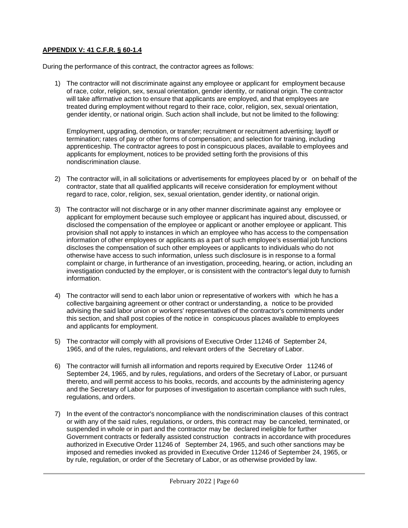## <span id="page-61-0"></span>**APPENDIX V: 41 C.F.R. § 60-1.4**

During the performance of this contract, the contractor agrees as follows:

1) The contractor will not discriminate against any employee or applicant for employment because of race, color, religion, sex, sexual orientation, gender identity, or national origin. The contractor will take affirmative action to ensure that applicants are employed, and that employees are treated during employment without regard to their race, color, religion, sex, sexual orientation, gender identity, or national origin. Such action shall include, but not be limited to the following:

Employment, upgrading, demotion, or transfer; recruitment or recruitment advertising; layoff or termination; rates of pay or other forms of compensation; and selection for training, including apprenticeship. The contractor agrees to post in conspicuous places, available to employees and applicants for employment, notices to be provided setting forth the provisions of this nondiscrimination clause.

- 2) The contractor will, in all solicitations or advertisements for employees placed by or on behalf of the contractor, state that all qualified applicants will receive consideration for employment without regard to race, color, religion, sex, sexual orientation, gender identity, or national origin.
- 3) The contractor will not discharge or in any other manner discriminate against any employee or applicant for employment because such employee or applicant has inquired about, discussed, or disclosed the compensation of the employee or applicant or another employee or applicant. This provision shall not apply to instances in which an employee who has access to the compensation information of other employees or applicants as a part of such employee's essential job functions discloses the compensation of such other employees or applicants to individuals who do not otherwise have access to such information, unless such disclosure is in response to a formal complaint or charge, in furtherance of an investigation, proceeding, hearing, or action, including an investigation conducted by the employer, or is consistent with the contractor's legal duty to furnish information.
- 4) The contractor will send to each labor union or representative of workers with which he has a collective bargaining agreement or other contract or understanding, a notice to be provided advising the said labor union or workers' representatives of the contractor's commitments under this section, and shall post copies of the notice in conspicuous places available to employees and applicants for employment.
- 5) The contractor will comply with all provisions of Executive Order 11246 of September 24, 1965, and of the rules, regulations, and relevant orders of the Secretary of Labor.
- 6) The contractor will furnish all information and reports required by Executive Order 11246 of September 24, 1965, and by rules, regulations, and orders of the Secretary of Labor, or pursuant thereto, and will permit access to his books, records, and accounts by the administering agency and the Secretary of Labor for purposes of investigation to ascertain compliance with such rules, regulations, and orders.
- 7) In the event of the contractor's noncompliance with the nondiscrimination clauses of this contract or with any of the said rules, regulations, or orders, this contract may be canceled, terminated, or suspended in whole or in part and the contractor may be declared ineligible for further Government contracts or federally assisted construction contracts in accordance with procedures authorized in Executive Order 11246 of September 24, 1965, and such other sanctions may be imposed and remedies invoked as provided in Executive Order 11246 of September 24, 1965, or by rule, regulation, or order of the Secretary of Labor, or as otherwise provided by law.